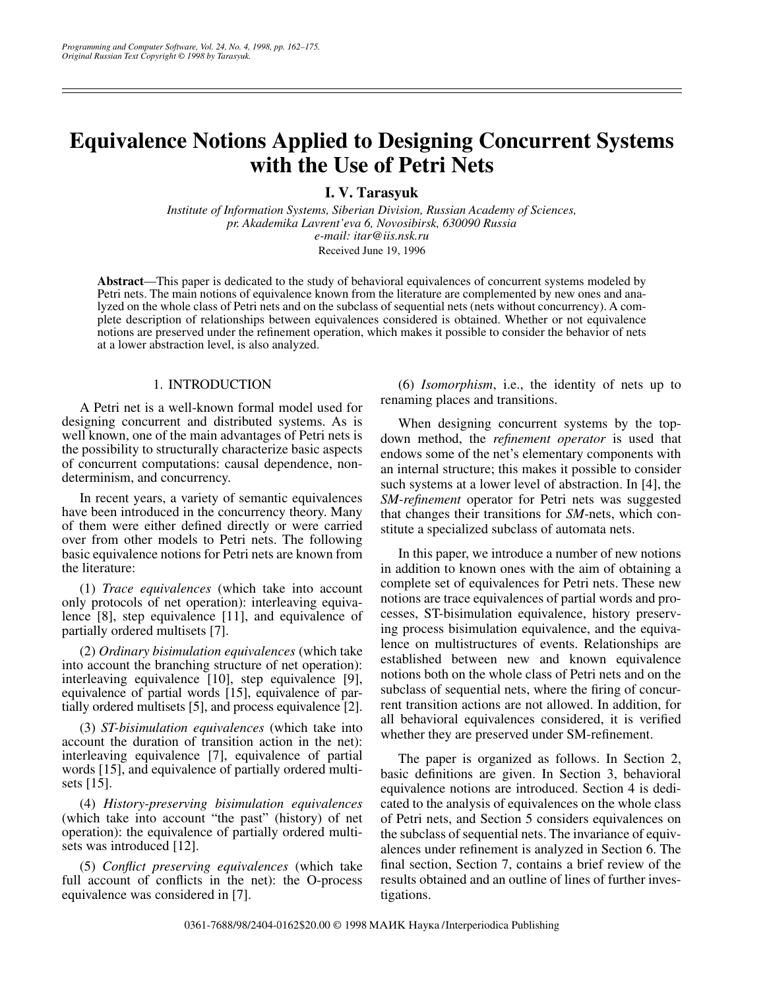# **Equivalence Notions Applied to Designing Concurrent Systems with the Use of Petri Nets**

**I. V. Tarasyuk**

*Institute of Information Systems, Siberian Division, Russian Academy of Sciences, pr. Akademika Lavrent'eva 6, Novosibirsk, 630090 Russia e-mail: itar@iis.nsk.ru* Received June 19, 1996

**Abstract**—This paper is dedicated to the study of behavioral equivalences of concurrent systems modeled by Petri nets. The main notions of equivalence known from the literature are complemented by new ones and analyzed on the whole class of Petri nets and on the subclass of sequential nets (nets without concurrency). A complete description of relationships between equivalences considered is obtained. Whether or not equivalence notions are preserved under the refinement operation, which makes it possible to consider the behavior of nets at a lower abstraction level, is also analyzed.

# 1. INTRODUCTION

A Petri net is a well-known formal model used for designing concurrent and distributed systems. As is well known, one of the main advantages of Petri nets is the possibility to structurally characterize basic aspects of concurrent computations: causal dependence, nondeterminism, and concurrency.

In recent years, a variety of semantic equivalences have been introduced in the concurrency theory. Many of them were either defined directly or were carried over from other models to Petri nets. The following basic equivalence notions for Petri nets are known from the literature:

(1) *Trace equivalences* (which take into account only protocols of net operation): interleaving equivalence [8], step equivalence [11], and equivalence of partially ordered multisets [7].

(2) *Ordinary bisimulation equivalences* (which take into account the branching structure of net operation): interleaving equivalence [10], step equivalence [9], equivalence of partial words [15], equivalence of partially ordered multisets [5], and process equivalence [2].

(3) *ST-bisimulation equivalences* (which take into account the duration of transition action in the net): interleaving equivalence [7], equivalence of partial words [15], and equivalence of partially ordered multisets [15].

(4) *History-preserving bisimulation equivalences* (which take into account "the past" (history) of net operation): the equivalence of partially ordered multisets was introduced [12].

(5) *Conflict preserving equivalences* (which take full account of conflicts in the net): the O-process equivalence was considered in [7].

(6) *Isomorphism*, i.e., the identity of nets up to renaming places and transitions.

When designing concurrent systems by the topdown method, the *refinement operator* is used that endows some of the net's elementary components with an internal structure; this makes it possible to consider such systems at a lower level of abstraction. In [4], the *SM-refinement* operator for Petri nets was suggested that changes their transitions for *SM*-nets, which constitute a specialized subclass of automata nets.

In this paper, we introduce a number of new notions in addition to known ones with the aim of obtaining a complete set of equivalences for Petri nets. These new notions are trace equivalences of partial words and processes, ST-bisimulation equivalence, history preserving process bisimulation equivalence, and the equivalence on multistructures of events. Relationships are established between new and known equivalence notions both on the whole class of Petri nets and on the subclass of sequential nets, where the firing of concurrent transition actions are not allowed. In addition, for all behavioral equivalences considered, it is verified whether they are preserved under SM-refinement.

The paper is organized as follows. In Section 2, basic definitions are given. In Section 3, behavioral equivalence notions are introduced. Section 4 is dedicated to the analysis of equivalences on the whole class of Petri nets, and Section 5 considers equivalences on the subclass of sequential nets. The invariance of equivalences under refinement is analyzed in Section 6. The final section, Section 7, contains a brief review of the results obtained and an outline of lines of further investigations.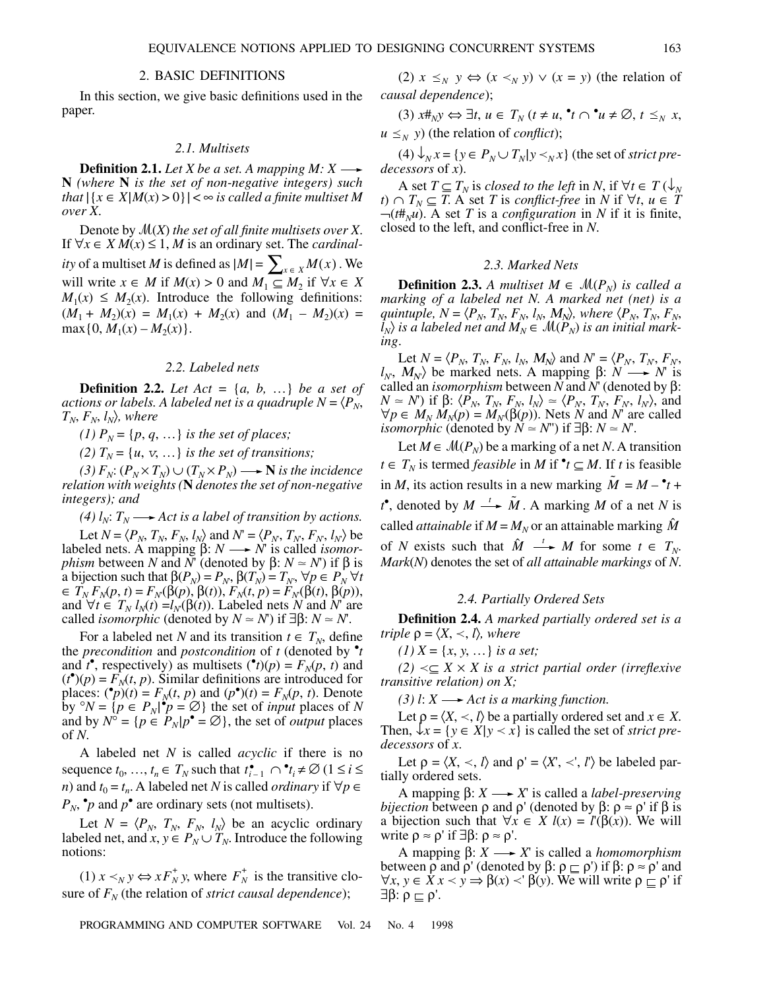# 2. BASIC DEFINITIONS

In this section, we give basic definitions used in the paper.

#### *2.1. Multisets*

**Definition 2.1.** Let X be a set. A mapping  $M: X \longrightarrow$ **N** *(where* **N** *is the set of non-negative integers) such that*  $|\{x \in X | M(x) > 0\}| < \infty$  *is called a finite multiset M over X*.

Denote by (*X*) *the set of all finite multisets over X*. If  $\forall x \in X M(x) \leq 1$ , M is an ordinary set. The *cardinality* of a multiset *M* is defined as  $|M| = \sum_{x \in X} M(x)$ . We will write  $x \in M$  if  $M(x) > 0$  and  $M_1 \subseteq M_2$  if  $\forall x \in X$  $M_1(x) \leq M_2(x)$ . Introduce the following definitions:  $(M_1 + M_2)(x) = M_1(x) + M_2(x)$  and  $(M_1 - M_2)(x) =$  $max{0, M<sub>1</sub>(x) - M<sub>2</sub>(x)}.$ 

# *2.2. Labeled nets*

**Definition 2.2.** Let  $Act = \{a, b, ...\}$  be a set of *actions or labels. A labeled net is a quadruple*  $N = \langle P_N, \rangle$  $T_N$ ,  $F_N$ ,  $l_N$ ), where

*(1)*  $P_N = \{p, q, ...\}$  *is the set of places;* 

*(2)*  $T_N = \{u, v, \ldots\}$  *is the set of transitions;* 

 $(3)$   $F_N$ :  $(P_N \times T_N)$  ∪  $(T_N \times P_N)$  → **N** is the incidence *relation with weights (***N** *denotes the set of non-negative integers); and*

*(4)*  $l_N$ *:*  $T_N \longrightarrow$  *Act is a label of transition by actions.* 

Let  $N = \langle P_N, T_N, F_N, l_N \rangle$  and  $N' = \langle P_N, T_N, F_N, l_N \rangle$  be labeled nets. A mapping  $\beta$ : *N*  $\longrightarrow$  *N*<sup>'</sup> is called *isomorphism* between *N* and  $\overline{N}$  (denoted by  $\beta$ :  $N \approx N'$ ) if  $\beta$  is a bijection such that  $\beta(P_N) = P_N$ ,  $\beta(T_N) = T_N$ ,  $\forall p \in P_N$   $\forall t$  $F_N(F_N(p, t) = F_N(\beta(p), \beta(t)), F_N(t, p) = F_N(\beta(t), \beta(p)),$ and  $\forall t \in T_N$   $l_N(t) = l_N(\beta(t))$ . Labeled nets *N* and *N*' are called *isomorphic* (denoted by  $N \approx N'$ ) if  $\exists \beta: N \approx N'$ .

For a labeled net *N* and its transition  $t \in T_N$ , define the *precondition* and *postcondition* of *t* (denoted by • *t* and  $t^{\bullet}$ , respectively) as multisets  $({}^{\bullet}t)(p) = F_N(p, t)$  and  $(t<sup>•</sup>)(p) = F<sub>N</sub>(t, p)$ . Similar definitions are introduced for places:  $({}^{\bullet}p)(t) = F_N(t, p)$  and  $(p^{\bullet})(t) = F_N(p, t)$ . Denote by  ${}^{\circ}N = \{ p \in P_N | \, {}^{\bullet}p = \emptyset \}$  the set of *input* places of *N* and by  $N^{\circ} = \{p \in P_N | p^{\bullet} = \emptyset\}$ , the set of *output* places of *N*.

A labeled net *N* is called *acyclic* if there is no sequence  $t_0, \ldots, t_n \in T_N$  such that  $t_{i-1}^{\bullet} \cap {}^{\bullet}t_i \neq \emptyset$  ( $1 \leq i \leq$ *n*) and  $t_0 = t_n$ . A labeled net *N* is called *ordinary* if  $\forall p \in$  $P_N$ ,  $\cdot p$  and  $p^{\bullet}$  are ordinary sets (not multisets).

Let  $N = \langle P_N, T_N, F_N, l_N \rangle$  be an acyclic ordinary labeled net, and  $x, y \in P_N \cup T_N$ . Introduce the following notions:

 $(1)$  *x*  $\lt_N$  *y*  $\Leftrightarrow$  *x*  $F_N^+$ *y*, where  $F_N^+$  is the transitive closure of  $F_N$  (the relation of *strict causal dependence*);

(2)  $x \leq_N y \Leftrightarrow (x \leq_N y) \vee (x = y)$  (the relation of *causal dependence*); *N*

(3) 
$$
x \#_N y \Leftrightarrow \exists t, u \in T_N
$$
  $(t \neq u, \mathbf{^*t} \cap \mathbf{^*u} \neq \emptyset, t \leq_N x,$ 

 $u \leq_N y$ ) (the relation of *conflict*); *N*

 $(4) \bigvee_x x = \{y \in P_x \cup T_x | y \prec_x x\}$  (the set of *strict predecessors* of *x*).

A set  $T \subseteq T_N$  is *closed to the left* in *N*, if  $\forall t \in T(\downarrow_N)$ *t*) ∩ *T<sub>N</sub>*  $\subseteq$  *T*. A set *T* is *conflict-free* in *N* if  $\forall$ *t*, *u* ∈ *T*  $\neg$ (*t*# $_{N}$ *u*). A set *T* is a *configuration* in *N* if it is finite, closed to the left, and conflict-free in *N*.

#### *2.3. Marked Nets*

**Definition 2.3.** *A multiset*  $M \in \mathcal{M}(P_N)$  *is called a marking of a labeled net N. A marked net (net) is a quintuple, N* =  $\langle P_N, T_N, F_N, l_N, M_N \rangle$ , where  $\langle P_N, T_N, F_N,$  $l_N$ ) *is a labeled net and*  $M_N \in \mathcal{M}(P_N)$  *is an initial marking*.

Let  $N = \langle P_N, T_N, F_N, l_N, M_N \rangle$  and  $N = \langle P_N, T_N, F_N,$  $l_N$ ,  $M_N$ ) be marked nets. A mapping β:  $N \longrightarrow N'$  is called an *isomorphism* between *N* and *N*' (denoted by β:  $N \simeq N'$ ) if  $\beta$ :  $\langle P_N, T_N, F_N, l_N \rangle \simeq \langle P_N, T_N, F_N, l_N \rangle$ , and  $\forall p \in M_N M_N(p) = M_N(\beta(p))$ . Nets *N* and *N*' are called *isomorphic* (denoted by  $N \approx N''$ ) if  $\exists \beta: N \approx N'$ .

Let  $M \in \mathcal{M}(P_N)$  be a marking of a net *N*. A transition *t* ∈  $T_N$  is termed *feasible* in *M* if  $\text{•}$  *t* ⊆ *M*. If *t* is feasible in *M*, its action results in a new marking  $\tilde{M} = M - \mathbf{t} + \mathbf{t}$ *t*<sup>•</sup>, denoted by  $M \xrightarrow{t} \tilde{M}$ . A marking *M* of a net *N* is called *attainable* if  $M = M_N$  or an attainable marking  $\hat{M}$ of *N* exists such that  $\hat{M} \longrightarrow M$  for some  $t \in T_N$ . *Mark*(*N*) denotes the set of *all attainable markings* of *N*.

#### *2.4. Partially Ordered Sets*

**Definition 2.4.** *A marked partially ordered set is a triple*  $\rho = \langle X, \langle , \rangle \rangle$ *, where* 

(1)  $X = \{x, y, \dots\}$  is a set;

 $(2)$  <⊂ *X* × *X* is a strict partial order (irreflexive *transitive relation) on X;*

 $(3)$  *l*:  $X \rightarrow$  *Act is a marking function.* 

Let  $\rho = \langle X, \langle X \rangle$  be a partially ordered set and  $x \in X$ . Then,  $\{x\} = \{y \in X | y \leq x\}$  is called the set of *strict predecessors* of *x*.

Let  $\rho = \langle X, \langle \cdot, \cdot \rangle \rangle$  and  $\rho' = \langle X', \langle \cdot, \cdot \rangle \rangle$  be labeled partially ordered sets.

A mapping β: *X X*' is called a *label-preserving bijection* between  $\rho$  and  $\rho'$  (denoted by  $\beta$ :  $\rho \approx \rho'$  if  $\beta$  is a bijection such that  $∀x ∈ X$  *l*(*x*) = *l*'( $β(x)$ ). We will write  $\rho \approx \rho'$  if  $\exists \beta: \rho \approx \rho'.$ 

A mapping β: *X X*' is called a *homomorphism* between ρ and ρ' (denoted by β:  $\rho \subset \rho'$ ) if β:  $\rho \approx \rho'$  and  $\forall x, y \in X \times y \Rightarrow \beta(x) < \beta(y)$ . We will write  $\rho \subset \rho'$  if  $∃β: ρ ⊡ ρ'.$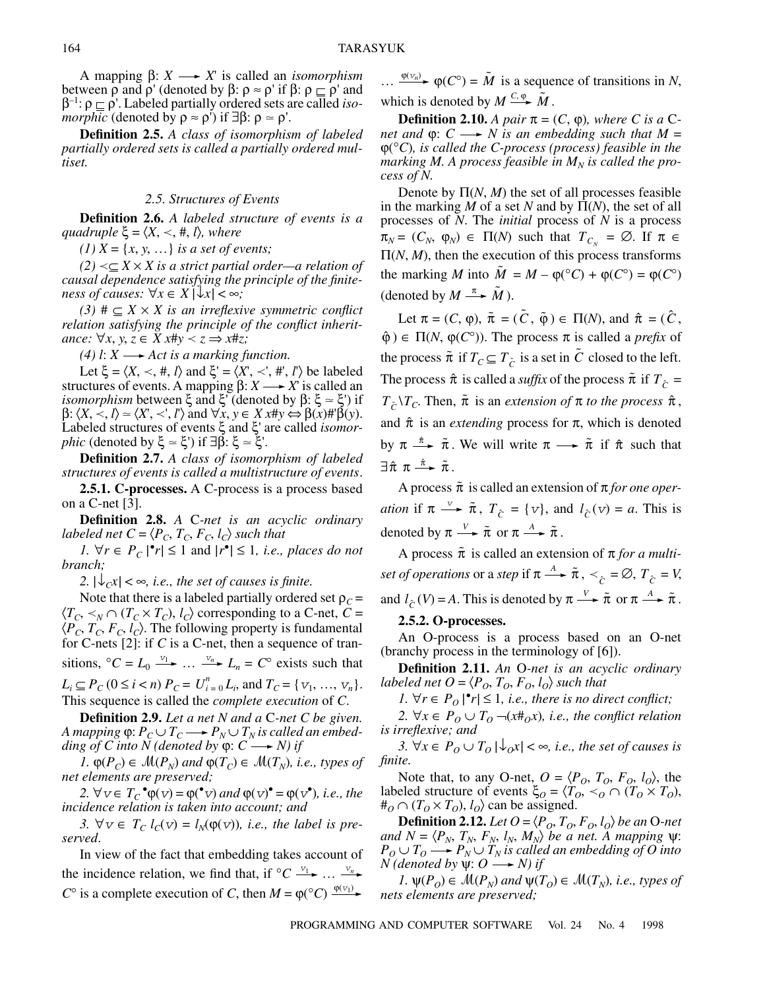A mapping β: *X X*' is called an *isomorphism* between  $\rho$  and  $\rho'$  (denoted by  $\beta$ :  $\rho \approx \rho'$  if  $\beta$ :  $\rho \subset \rho'$  and β–1: ρ ρ'. Labeled partially ordered sets are called *isomorphic* (denoted by  $\rho \approx \rho'$ ) if  $\exists \beta: \rho \approx \rho'$ .

**Definition 2.5.** *A class of isomorphism of labeled partially ordered sets is called a partially ordered multiset.*

## *2.5. Structures of Events*

**Definition 2.6.** *A labeled structure of events is a*  $quadruple \xi = \langle X, \prec, \#, l \rangle$ *, where* 

*(1)*  $X = \{x, y, ...\}$  *is a set of events;* 

 $(2)$  <⊆ *X* × *X* is a strict partial order—a relation of *causal dependence satisfying the principle of the finiteness of causes:*  $\forall x \in X \, |\, \forall x | < \infty$ ;

 $(3)$  #  $\subseteq$  *X*  $\times$  *X is an irreflexive symmetric conflict relation satisfying the principle of the conflict inheritance:* ∀*x*, *y*,  $z \in X$ *x*#*y*  $\lt z$  ⇒ *x*#*z*;

*(4) l: X*  $\longrightarrow$  *Act is a marking function.* 

Let  $\xi = \langle X, \prec, \#, l \rangle$  and  $\xi' = \langle X', \prec', \#', l' \rangle$  be labeled structures of events. A mapping  $\beta$ :  $X \rightarrow X'$  is called an *isomorphism* between ξ and ξ' (denoted by β: ξ  $\approx$  ξ') if  $\beta$ :  $\langle X, \langle X, \rangle \rangle \simeq \langle X', \langle X, \rangle \rangle$  and  $\forall x, y \in X$ *x*# $y \Leftrightarrow \beta(x)$ #' $\beta(y)$ . Labeled structures of events ξ and ξ' are called *isomorphic* (denoted by ξ  $\approx$  ξ') if ∃β: ξ  $\approx$  ξ'.

**Definition 2.7.** *A class of isomorphism of labeled structures of events is called a multistructure of events*.

**2.5.1. C-processes.** A C-process is a process based on a C-net [3].

**Definition 2.8.** *A* C*-net is an acyclic ordinary labeled net*  $C = \langle P_C, T_C, F_C, I_C \rangle$  *such that* 

*1.*  $\forall r \in P_C \mid r \leq 1$  and  $|r^{\bullet}| \leq 1$ , *i.e., places do not branch;*

2.  $|\psi_{C}x| < \infty$ , *i.e., the set of causes is finite.* 

Note that there is a labeled partially ordered set  $\rho_c$  =  $\langle T_C, \prec_N \cap (T_C \times T_C), l_C \rangle$  corresponding to a C-net,  $C =$  $\langle P_C, T_C, F_C, I_C \rangle$ . The following property is fundamental for C-nets [2]: if *C* is a C-net, then a sequence of transitions,  ${}^{\circ}C = L_0 \stackrel{v_1}{\longrightarrow} \dots \stackrel{v_n}{\longrightarrow} L_n = C^{\circ}$  exists such that  $L_i \subseteq P_C$  ( $0 \le i < n$ )  $P_C = U_{i=0}^n L_i$ , and  $T_C = \{v_1, ..., v_n\}.$ 

This sequence is called the *complete execution* of *C*. **Definition 2.9.** *Let a net N and a* C*-net C be given.*

*A mapping*  $\varphi$ :  $P_C \cup T_C \longrightarrow P_N \cup T_N$  *is called an embedding of C into N (denoted by*  $\varphi$ *: C*  $\longrightarrow$  *N) if* 

*1.*  $\varphi(P_C)$  ∈  $\mathcal{M}(P_N)$  and  $\varphi(T_C)$  ∈  $\mathcal{M}(T_N)$ , *i.e., types of net elements are preserved;*

2.  $\forall v \in T_c$ <sup>•</sup> $\varphi(v) = \varphi({}^{\bullet}v)$  *and*  $\varphi(v)^{\bullet} = \varphi(v^{\bullet})$ *, i.e., the incidence relation is taken into account; and* 

3.  $\forall v \in T_c$   $l_c(v) = l_N(\varphi(v))$ *, i.e., the label is preserved*.

In view of the fact that embedding takes account of the incidence relation, we find that, if  ${}^{\circ}C \xrightarrow{v_1} \dots \xrightarrow{v_n}$  $C^{\circ}$  is a complete execution of *C*, then  $M = \varphi({}^{\circ}C) \frac{\varphi(v_1)}{w_1}$ 

...  $\frac{\varphi(v_n)}{P}$  **φ**(*C*°) =  $\tilde{M}$  is a sequence of transitions in *N*, which is denoted by  $M \xrightarrow{C, \phi} \tilde{M}$ .

**Definition 2.10.** *A pair*  $\pi = (C, \varphi)$ *, where C is a* C*net and*  $\varphi$ :  $C \longrightarrow N$  *is an embedding such that*  $M =$ ϕ(°*C*)*, is called the C-process (process) feasible in the* marking M. A process feasible in  $M_N$  is called the pro*cess of N.*

Denote by  $\Pi(N, M)$  the set of all processes feasible in the marking *M* of a set *N* and by  $\Pi(N)$ , the set of all processes of *N*. The *initial* process of *N* is a process  $\pi_N = (C_N, \varphi_N) \in \Pi(N)$  such that  $T_{C_N} = \emptyset$ . If  $\pi \in$  $\Pi(N, M)$ , then the execution of this process transforms the marking *M* into  $\tilde{M} = M - \varphi({}^{\circ}C) + \varphi(C^{\circ}) = \varphi(C^{\circ})$ (denoted by  $M \stackrel{\pi}{\longrightarrow} \tilde{M}$ ).

Let  $\pi = (C, \varphi), \tilde{\pi} = (\tilde{C}, \tilde{\varphi}) \in \Pi(N)$ , and  $\hat{\pi} = (\hat{C}, \tilde{\varphi})$  $\hat{\varphi}$ )  $\in \Pi(N, \varphi(C^{\circ}))$ . The process  $\pi$  is called a *prefix* of the process  $\tilde{\pi}$  if  $T_C \subseteq T_{\tilde{C}}$  is a set in  $\tilde{C}$  closed to the left. The process  $\hat{\pi}$  is called a *suffix* of the process  $\tilde{\pi}$  if  $T_{\hat{C}} =$  $T_{\tilde{C}}\backslash T_C$ . Then,  $\tilde{\pi}$  is an *extension of*  $\pi$  *to the process*  $\hat{\pi}$ , and  $\hat{\pi}$  is an *extending* process for  $\pi$ , which is denoted by  $\pi \stackrel{\hat{\pi}}{\longrightarrow} \tilde{\pi}$ . We will write  $\pi \longrightarrow \tilde{\pi}$  if  $\hat{\pi}$  such that  $\exists \hat{\pi} \; \pi \stackrel{\hat{\pi}}{\longrightarrow} \tilde{\pi}$  .

A process  $\tilde{\pi}$  is called an extension of  $\pi$  *for one operation* if  $\pi \longrightarrow \tilde{\pi}$ ,  $T_{\hat{C}} = \{v\}$ , and  $l_{\hat{C}}(v) = a$ . This is denoted by  $\pi \xrightarrow{V} \tilde{\pi}$  or  $\pi \xrightarrow{A} \tilde{\pi}$ .

A process  $\tilde{\pi}$  is called an extension of  $\pi$  *for a multiset of operations* or a *step* if  $\pi \xrightarrow{A} \tilde{\pi}$ ,  $\prec_{\hat{C}} = \emptyset$ ,  $T_{\hat{C}} = V$ , and  $l_{\hat{C}}(V) = A$ . This is denoted by  $\pi \xrightarrow{V} \tilde{\pi}$  or  $\pi \xrightarrow{A} \tilde{\pi}$ . *V* →  $\tilde{\pi}$  or  $\pi \xrightarrow{A} \tilde{\pi}$ 

## **2.5.2. O-processes.**

An O-process is a process based on an O-net (branchy process in the terminology of [6]).

**Definition 2.11.** *An* O*-net is an acyclic ordinary labeled net*  $O = \langle P_o, T_o, F_o, l_o \rangle$  *such that* 

*1.*  $\forall r \in P_0 \, |^{\bullet}r \leq 1$ , *i.e., there is no direct conflict*;

*2.* ∀*x* ∈  $P_0$  ∪  $T_0$  ¬( $x \neq b$  $x$ *), i.e., the conflict relation is irreflexive; and* 

*3.* ∀*x* ∈  $P$ <sup>*O*</sup> ∪  $T$ <sup>*O*</sup> |↓<sup>*Ox*</sup>| < ∞*, i.e., the set of causes is finite.*

Note that, to any O-net,  $O = \langle P_O, T_O, F_O, l_O \rangle$ , the labeled structure of events  $\xi_O = \langle T_O, \prec_O \cap (T_O \times T_O)$ ,  $#_O \cap (T_O \times T_O), l_O$  can be assigned.

**Definition 2.12.** *Let*  $O = \langle P_O, T_O, F_O, l_O \rangle$  *be an* O-net  $and N = \langle P_N, T_N, F_N, l_N, M_N \rangle$  *be a net. A mapping*  $\psi$ :  $P_O \cup T_O \longrightarrow P_N \cup T_N$  is called an embedding of O into  $N$  (denoted by  $\psi: O \longrightarrow N$ ) if

*1.*  $\psi(P_0)$  ∈  $\mathcal{M}(P_N)$  and  $\psi(T_0)$  ∈  $\mathcal{M}(T_N)$ , *i.e., types of nets elements are preserved;*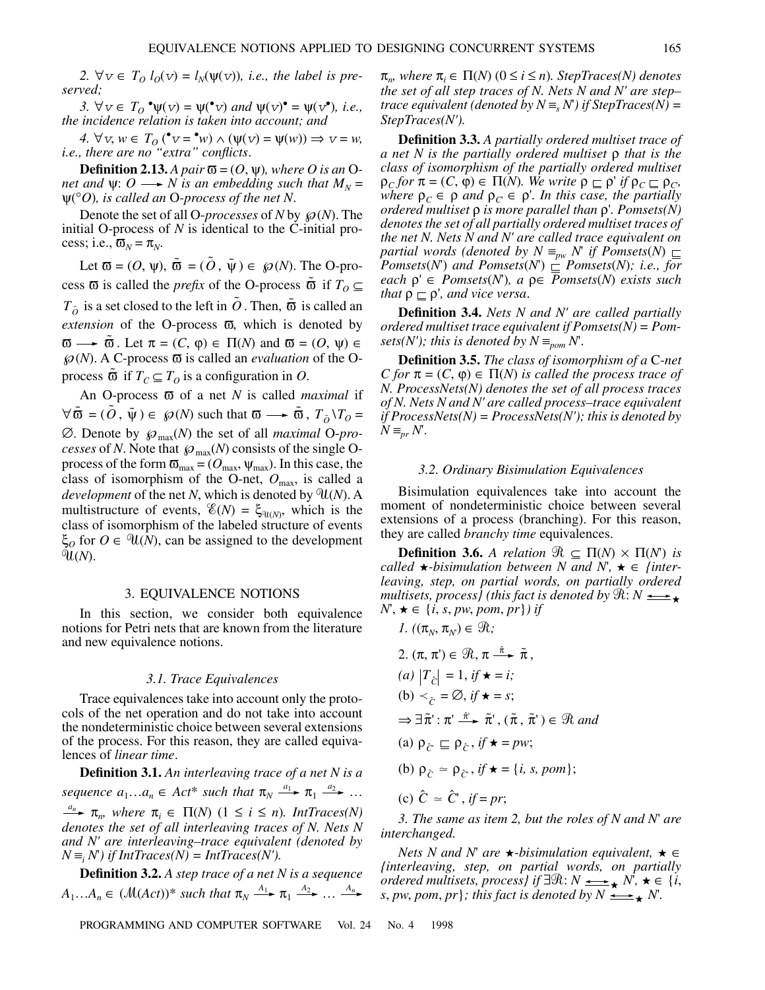2.  $\forall v \in T_0$   $l_0(v) = l_N(\psi(v))$ , *i.e., the label is preserved;*

*3.*  $∀v ∈ T<sub>O</sub> °ψ(v) = ψ(°v) and ψ(v)° = ψ(v°), i.e.,$ *the incidence relation is taken into account; and* 

*4.*  $\forall v, w \in T_0$  (\* $v = \text{``}w$ )  $\land$  ( $\psi(v) = \psi(w)$ )  $\Rightarrow v = w$ , *i.e., there are no "extra" conflicts*.

**Definition 2.13.** *A pair*  $\mathbf{\overline{o}} = (O, \psi)$ *, where O is an* O*net and*  $\psi$ :  $O \rightarrow N$  *is an embedding such that*  $M_N =$ ψ(°*O*)*, is called an* O*-process of the net N*.

Denote the set of all O-*processes* of *N* by  $\mathcal{P}(N)$ . The initial O-process of *N* is identical to the C-initial process; i.e.,  $\overline{\omega}_N = \pi_N$ .

Let  $\overline{\omega} = (O, \psi), \tilde{\omega} = (\tilde{O}, \tilde{\psi}) \in \wp(N)$ . The O-process  $\bar{\omega}$  is called the *prefix* of the O-process  $\tilde{\omega}$  if  $T_0 \subseteq$  $T_{\tilde{o}}$  is a set closed to the left in  $\tilde{o}$  . Then,  $\tilde{\varpi}$  is called an *extension* of the O-process  $\overline{\omega}$ , which is denoted by  $\overline{\omega} \longrightarrow \tilde{\overline{\omega}}$ . Let  $\pi = (C, \varphi) \in \Pi(N)$  and  $\overline{\omega} = (O, \psi) \in$  $\mathcal{P}(N)$ . A C-process  $\overline{\omega}$  is called an *evaluation* of the Oprocess  $\tilde{\sigma}$  if  $T_C \subseteq T_O$  is a configuration in *O*.

An O-process ϖ of a net *N* is called *maximal* if  $\forall \tilde{\omega} = (\tilde{O}, \tilde{\psi}) \in \mathcal{O}(N)$  such that  $\omega \longrightarrow \tilde{\omega}, T_{\tilde{O}} \setminus T_{O} =$  $\emptyset$ . Denote by  $\wp_{\text{max}}(N)$  the set of all *maximal* O-pro*cesses* of *N*. Note that  $\wp_{\text{max}}(N)$  consists of the single Oprocess of the form  $\overline{\omega}_{\text{max}} = (O_{\text{max}}, \psi_{\text{max}})$ . In this case, the class of isomorphism of the O-net,  $O_{\text{max}}$ , is called a *development* of the net *N*, which is denoted by  $\mathfrak{A}(N)$ . A multistructure of events,  $\mathscr{E}(N) = \xi_{\mathscr{U}(N)}$ , which is the class of isomorphism of the labeled structure of events  $\xi_o$  for  $O \in \mathcal{U}(N)$ , can be assigned to the development -(*N*).

#### 3. EQUIVALENCE NOTIONS

In this section, we consider both equivalence notions for Petri nets that are known from the literature and new equivalence notions.

#### *3.1. Trace Equivalences*

Trace equivalences take into account only the protocols of the net operation and do not take into account the nondeterministic choice between several extensions of the process. For this reason, they are called equivalences of *linear time*.

**Definition 3.1.** *An interleaving trace of a net N is a sequence*  $a_1...a_n \in Act^*$  *such that*  $\pi_N \xrightarrow{a_1} \pi_1 \xrightarrow{a_2} ...$  $\pi_n$  *π<sub>n</sub>* where  $\pi_i \in \Pi(N)$  ( $1 \le i \le n$ )*. IntTraces(N) denotes the set of all interleaving traces of N. Nets N and N' are interleaving–trace equivalent (denoted by*  $N \equiv_i N$ ) *if IntTraces(N)* = *IntTraces(N')*.

**Definition 3.2.** *A step trace of a net N is a sequence*  $A_1...A_n \in (\mathcal{M}(Act))^*$  such that  $\pi_N \stackrel{A_1}{\longrightarrow} \pi_1 \stackrel{A_2}{\longrightarrow} \dots \stackrel{A_n}{\longrightarrow}$ 

 $\pi_m$ , where  $\pi_i \in \Pi(N)$  ( $0 \le i \le n$ ). StepTraces(N) denotes *the set of all step traces of N. Nets N and N' are step– trace equivalent (denoted by*  $N \equiv_s N$ *) if StepTraces(N) = StepTraces(N').*

**Definition 3.3.** *A partially ordered multiset trace of a net N is the partially ordered multiset* ρ *that is the class of isomorphism of the partially ordered multiset*  $\rho_C$  *for*  $\pi = (C, \varphi) \in \Pi(N)$ *. We write*  $\rho \sqsubseteq \rho'$  *if*  $\rho_C \sqsubseteq \rho_C$ *, where*  $\rho_C \in \rho$  *and*  $\rho_C \in \rho'$ *. In this case, the partially ordered multiset* ρ *is more parallel than* ρ'*. Pomsets(N) denotes the set of all partially ordered multiset traces of the net N. Nets N and N' are called trace equivalent on partial words (denoted by N*  $\equiv_{pw}$  *N if Pomsets*(*N*)  $\sqsubseteq$ *Pomsets*(*N*<sup>'</sup>) and *Pomsets*(*N*<sup>'</sup>)  $\subseteq$  *Pomsets*(*N*)*; i.e., for each* ρ' ∈ *Pomsets*(*N*')*, a* ρ∈ *Pomsets*(*N*) *exists such that*  $\rho \sqsubseteq \rho'$ *, and vice versa.* 

**Definition 3.4.** *Nets N and N' are called partially ordered multiset trace equivalent if Pomsets(N) = Pomsets(N'); this is denoted by N*  $\equiv_{\text{nom}} N$ .

**Definition 3.5.** *The class of isomorphism of a* C*-net C* for  $\pi = (C, \varphi) \in \Pi(N)$  *is called the process trace of N. ProcessNets(N) denotes the set of all process traces of N. Nets N and N' are called process–trace equivalent if ProcessNets(N) = ProcessNets(N'); this is denoted by*  $N \equiv_{pr} N$ .

#### *3.2. Ordinary Bisimulation Equivalences*

Bisimulation equivalences take into account the moment of nondeterministic choice between several extensions of a process (branching). For this reason, they are called *branchy time* equivalences.

**Definition 3.6.** *A relation*  $\mathcal{R} \subseteq \Pi(N) \times \Pi(N)$  *is called*  $\star$ *-bisimulation between N and N'*,  $\star \in$  *{interleaving, step, on partial words, on partially ordered multisets, process)* (this fact is denoted by  $\Re: N \longrightarrow$  $N'$ ,  $\star \in \{i, s, pw, pom, pr\}$  *if* 

*1.*  $((\pi_N, \pi_N) \in \mathcal{R};$ 2.  $(\pi, \pi) \in \mathcal{R}, \pi \stackrel{\hat{\pi}}{\longrightarrow} \tilde{\pi},$  $(a)$   $|T_{\hat{C}}| = 1$ , *if*  $\star = i$ ; (b)  $\lt_{\hat{C}} = \emptyset$ , if  $\star = s$ ;  $\Rightarrow \exists \tilde{\pi}' : \pi' \stackrel{\hat{\pi}}{\longrightarrow} \tilde{\pi}', (\tilde{\pi}, \tilde{\pi}') \in \mathcal{R}$  and (a)  $\rho_{\hat{C}} \sqsubseteq \rho_{\hat{C}}$ , if  $\star = pw$ ; (b)  $\rho_{\hat{C}} \simeq \rho_{\hat{C}}$ , *if*  $\star = \{i, s, pom\};$ 

(c) 
$$
\hat{C} \approx \hat{C}'
$$
, if = pr;

*3. The same as item 2, but the roles of N and N*' *are interchanged.*

*Nets N and N'* are  $\star$ -bisimulation equivalent,  $\star \in$ *{interleaving, step, on partial words, on partially ordered multisets, process} if*  $\exists \Re: N \longrightarrow N$ ,  $\star \in \{i, j\}$ *s*, *pw*, *pom*, *pr}; this fact is denoted by N*  $\longrightarrow$  *N*.

PROGRAMMING AND COMPUTER SOFTWARE Vol. 24 No. 4 1998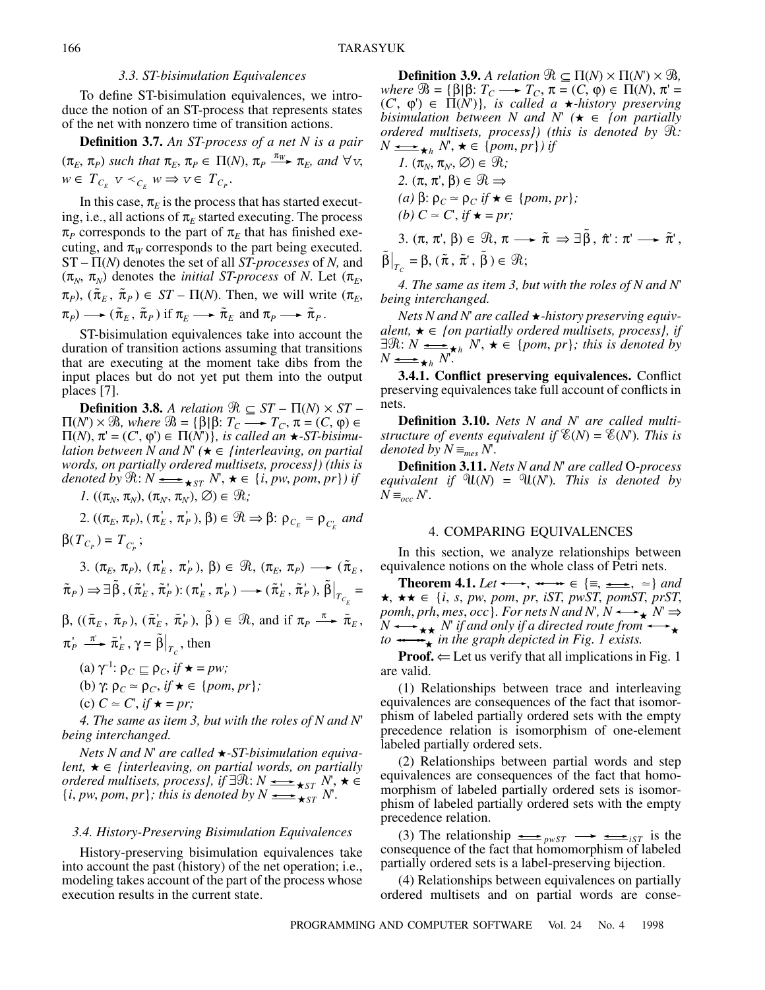## *3.3. ST-bisimulation Equivalences*

To define ST-bisimulation equivalences, we introduce the notion of an ST-process that represents states of the net with nonzero time of transition actions.

**Definition 3.7.** *An ST-process of a net N is a pair*  $(\pi_E, \pi_P)$  such that  $\pi_E, \pi_P \in \Pi(N)$ ,  $\pi_P \xrightarrow{\pi_W} \pi_E$ , and  $\forall v$ ,  $w \in T_{C_E}$   $v \prec_{C_E} w \Rightarrow v \in T_{C_P}.$ 

In this case,  $\pi_E$  is the process that has started executing, i.e., all actions of  $\pi_E$  started executing. The process  $\pi_P$  corresponds to the part of  $\pi_E$  that has finished executing, and  $\pi_W$  corresponds to the part being executed. ST – Π(*N*) denotes the set of all *ST-processes* of *N,* and  $(\pi_N, \pi_N)$  denotes the *initial ST-process* of *N*. Let  $(\pi_E,$  $(\pi_{P})$ ,  $(\tilde{\pi}_{E}, \tilde{\pi}_{P}) \in ST - \Pi(N)$ . Then, we will write  $(\pi_{E}, \tilde{\pi}_{P})$  $(\pi_P) \longrightarrow (\tilde{\pi}_E, \tilde{\pi}_P) \text{ if } \pi_E \longrightarrow \tilde{\pi}_E \text{ and } \pi_P \longrightarrow \tilde{\pi}_P.$ 

ST-bisimulation equivalences take into account the duration of transition actions assuming that transitions that are executing at the moment take dibs from the input places but do not yet put them into the output places [7].

**Definition 3.8.** *A relation*  $\Re \subseteq ST - \Pi(N) \times ST \Pi(N') \times \mathcal{B}$ , where  $\mathcal{B} = {\beta | \beta : T_C \longrightarrow T_C, \pi = (C, \phi) \in \mathcal{B}}$  $\Pi(N), \pi' = (C, \varphi') \in \Pi(N')$ , is called an  $\star$ -ST-bisimu*lation between N and N'* ( $\star \in$  *{interleaving, on partial words, on partially ordered multisets, process}) (this is denoted by*  $\mathcal{R}: N \longrightarrow$   $\underset{\star}{\longrightarrow}$   $s_T N, \star \in \{i, pw, pom, pr\}$  *if* 

*1*.  $((\pi_N, \pi_N), (\pi_N, \pi_N), \emptyset) \in \mathcal{R}$ ;

2. 
$$
((\pi_E, \pi_P), (\pi_E^+, \pi_P^+), \beta) \in \mathcal{R} \Rightarrow \beta: \rho_{C_E} \approx \rho_{C_E}^+ \text{ and }
$$

$$
\beta(T_{C_P})=T_{C_P};
$$

3.  $(\pi_E, \pi_P), (\pi_E', \pi_P'), \beta) \in \mathcal{R}, (\pi_E, \pi_P) \longrightarrow (\tilde{\pi}_E,$  $(\tilde{\pi}_P) \Rightarrow \exists \tilde{\beta}, (\tilde{\pi}_E^{\prime}, \tilde{\pi}_P^{\prime}) : (\pi_E^{\prime}, \pi_P^{\prime}) \longrightarrow (\tilde{\pi}_E^{\prime}, \tilde{\pi}_P^{\prime}), \tilde{\beta}\big|_{T_c} =$  $\beta$ ,  $((\tilde{\pi}_E, \tilde{\pi}_P), (\tilde{\pi}'_E, \tilde{\pi}'_P), \tilde{\beta}) \in \mathcal{R}$ , and if  $\pi_P \stackrel{\pi}{\longrightarrow} \tilde{\pi}_E$ ,  $\pi_P \stackrel{\pi}{\longrightarrow} \tilde{\pi}_E^{\dagger}$ ,  $\gamma = \tilde{\beta}\Big|_{T_c}$ , then (a)  $\gamma^{-1}$ :  $\rho_C \sqsubseteq \rho_C$ , *if*  $\star = pw$ ;  $T_{C_E}$  $T_C$ 

 $(b)$   $\gamma: \rho_C \simeq \rho_C$ , *if*  $\star \in \{pom, pr\};$ 

(c) 
$$
C \approx C
$$
, if  $\star = pr$ ;

*4. The same as item 3, but with the roles of N and N*' *being interchanged.*

*Nets N and N*' *are called -ST-bisimulation equivalent,*  $\star \in$  *{interleaving, on partial words, on partially ordered multisets, process}, if*  $\exists \Re: N \longrightarrow \kappa_{ST} N$ ,  $\star \in$  $\{i, pw, pom, pr\}$ ; this is denoted by  $N \longrightarrow \overline{\star}_{ST} N$ .

## *3.4. History-Preserving Bisimulation Equivalences*

History-preserving bisimulation equivalences take into account the past (history) of the net operation; i.e., modeling takes account of the part of the process whose execution results in the current state.

**Definition 3.9.** *A relation*  $\Re \subseteq \Pi(N) \times \Pi(N) \times \Re$ ,  $where \mathcal{B} = {\beta | \beta: T_C \longrightarrow T_C, \pi = (C, \phi) \in \Pi(N), \pi' = \emptyset}$  $(C, \varphi) \in \Pi(\dot{N})$ , is called a *+*-history preserving *bisimulation between N and N'* ( $\star \in$  *{on partially ordered multisets, process}) (this is denoted by*  $\mathcal{R}$ *:*  $N \longrightarrow$   $\star$ <sub>h</sub>  $N'$ ,  $\star \in \{pom, pr\}$ ) if

*1.*  $(\pi_N, \pi_N, \emptyset) \in \mathcal{R}$ ; *2.* (π, π', β)  $\in$   $\mathcal{R}$   $\Rightarrow$  $(a) \beta$ :  $\rho_C \simeq \rho_C$  *if*  $\star \in \{pom, pr\}$ ; *(b)*  $C \approx C$ , *if*  $\star = pr$ ; 3.  $(\pi, \pi', \beta) \in \mathcal{R}, \pi \longrightarrow \tilde{\pi} \Rightarrow \exists \tilde{\beta}, \hat{\pi}' : \pi' \longrightarrow \tilde{\pi}',$  $\tilde{\beta}\big|_{T_{-}} = \beta, (\tilde{\pi}, \tilde{\pi}^{\prime}, \tilde{\beta}) \in \mathcal{R};$  $T_c = \beta$ ,  $(\tilde{\pi}, \tilde{\pi}', \tilde{\beta})$ 

*4. The same as item 3, but with the roles of N and N*' *being interchanged.*

*Nets N and N' are called* ★-history preserving equiv*alent,*  $\star \in$  *{on partially ordered multisets, process}, if*  $\exists \Re: N \longrightarrow_{h} N, \star \in \{pom, pr\}$ ; this is denoted by  $N \longrightarrow \star h N$ .

**3.4.1. Conflict preserving equivalences.** Conflict preserving equivalences take full account of conflicts in nets.

**Definition 3.10.** *Nets N and N*' *are called multistructure of events equivalent if*  $\mathcal{E}(N) = \mathcal{E}(N)$ *. This is denoted by*  $N \equiv_{mes} N'$ .

**Definition 3.11.** *Nets N and N*' *are called* O*-process equivalent if*  $\mathfrak{N}(N) = \mathfrak{N}(N)$ *. This is denoted by*  $N \equiv_{occ} N$ .

## 4. COMPARING EQUIVALENCES

In this section, we analyze relationships between equivalence notions on the whole class of Petri nets.

**Theorem 4.1.** *Let*  $\longleftrightarrow$ ,  $\longleftrightarrow$   $\in$   $\{\equiv, \implies, \ \simeq\}$  *and*  $\star$ ,  $\star \star \in \{i, s, pw, pom, pr, iST, pwST, pomST, prST,$  $pomh, prh, mes, occ$ }. For nets N and N',  $N \longrightarrow_{\bigstar} N' \Rightarrow$  $N \longrightarrow_{\star \star} N$  if and only if a directed route from  $N \leftrightarrow \star N$  *if and only if a directed route from*  $\leftrightarrow \star$  *to*  $\leftrightarrow \star$  *in the graph depicted in Fig. 1 exists.*  $\overrightarrow{ }$ 

**Proof.**  $\Leftarrow$  Let us verify that all implications in Fig. 1 are valid.

(1) Relationships between trace and interleaving equivalences are consequences of the fact that isomorphism of labeled partially ordered sets with the empty precedence relation is isomorphism of one-element labeled partially ordered sets.

(2) Relationships between partial words and step equivalences are consequences of the fact that homomorphism of labeled partially ordered sets is isomorphism of labeled partially ordered sets with the empty precedence relation.

(3) The relationship  $\longrightarrow_{\text{pwST}}$   $\longrightarrow$   $\longrightarrow_{\text{isr}}$  is the consequence of the fact that homomorphism of labeled partially ordered sets is a label-preserving bijection.

(4) Relationships between equivalences on partially ordered multisets and on partial words are conse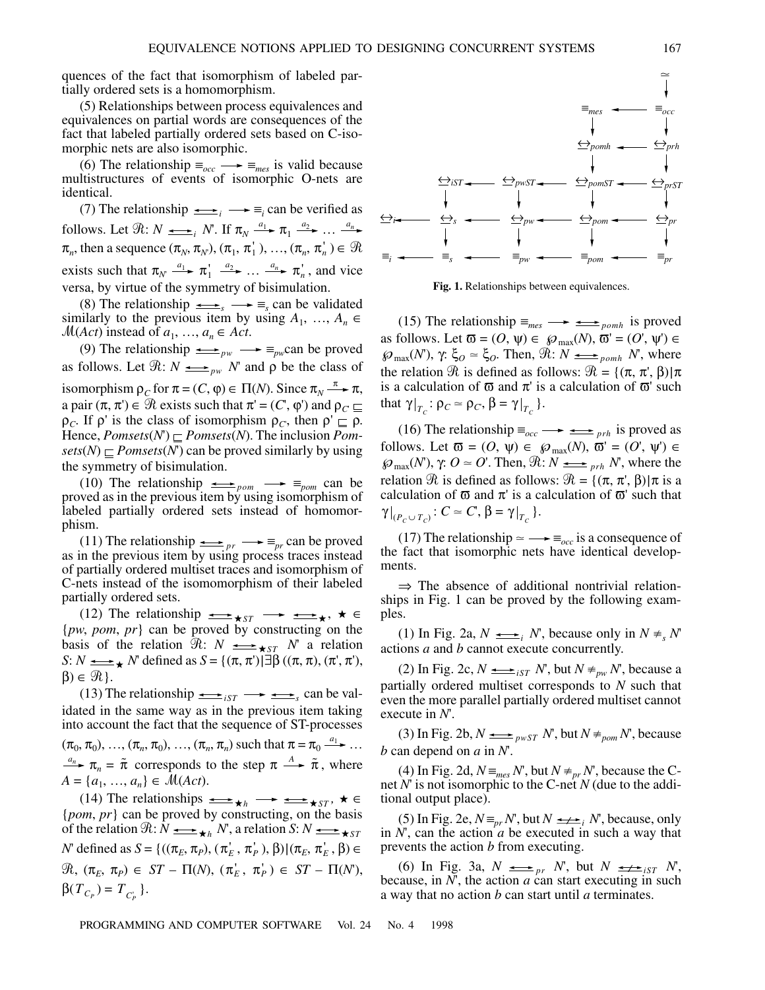quences of the fact that isomorphism of labeled partially ordered sets is a homomorphism.

(5) Relationships between process equivalences and equivalences on partial words are consequences of the fact that labeled partially ordered sets based on C-isomorphic nets are also isomorphic.

(6) The relationship  $\equiv_{occ} \longrightarrow \equiv_{mes}$  is valid because multistructures of events of isomorphic O-nets are identical.

(7) The relationship  $\longrightarrow$   $\equiv$ <sub>*i*</sub>  $\longrightarrow$   $\equiv$ <sub>*i*</sub> can be verified as follows. Let  $\Re: N \longrightarrow_{i} N$ . If  $\pi_N \xrightarrow{a_1} \pi_1 \xrightarrow{a_2} \dots \xrightarrow{a_n}$  $\pi_n$ , then a sequence  $(\pi_N, \pi_N)$ ,  $(\pi_1, \pi_1)$ , ...,  $(\pi_n, \pi_n') \in \mathcal{R}$ exists such that  $\pi_N \xrightarrow{a_1} \pi_1' \xrightarrow{a_2} \dots \xrightarrow{a_n} \pi_n'$ , and vice versa, by virtue of the symmetry of bisimulation.

(8) The relationship  $\longrightarrow$   $\equiv$ <sub>s</sub> can be validated similarly to the previous item by using  $A_1$ , …,  $A_n \in$  $M(Act)$  instead of  $a_1, \ldots, a_n \in Act$ .

(9) The relationship  $\longrightarrow \equiv_{pw}$ can be proved as follows. Let  $\Re: N \longrightarrow_{p^w} N'$  and  $\rho$  be the class of isomorphism  $\rho_C$  for  $\pi = (C, \varphi) \in \Pi(N)$ . Since  $\pi_N \xrightarrow{\pi} \pi$ , a pair  $(\pi, \pi) \in \mathcal{R}$  exists such that  $\pi' = (C', \varphi')$  and  $\rho_C \sqsubseteq$  $\rho_c$ . If  $\rho'$  is the class of isomorphism  $\rho_c$ , then  $\rho' \sqsubseteq \rho$ . Hence,  $Pomsets(N) \sqsubseteq Pomsets(N)$ . The inclusion  $Pom$  $sets(N) \sqsubset Pomsets(N)$  can be proved similarly by using the symmetry of bisimulation.

(10) The relationship  $\longrightarrow$   $\equiv_{\text{pom}}$  can be proved as in the previous item by using isomorphism of labeled partially ordered sets instead of homomorphism.

(11) The relationship  $\longrightarrow$   $\Rightarrow$   $\mathbb{F}_{pr}$  can be proved as in the previous item by using process traces instead of partially ordered multiset traces and isomorphism of C-nets instead of the isomomorphism of their labeled partially ordered sets.

(12) The relationship  $\xrightarrow{\bullet}$   $\xrightarrow{\bullet}$   $\xrightarrow{\bullet}$   $\xrightarrow{\bullet}$   $\xrightarrow{\bullet}$ {*pw*, *pom*, *pr*} can be proved by constructing on the basis of the relation  $\Re: N \longrightarrow$   $\star$  *s N*<sup>'</sup> a relation *S*:  $N \leq N$  defined as  $S = \{(\pi, \pi') | \exists \beta ((\pi, \pi), (\pi', \pi'),$  $\beta$ )  $\in \mathcal{R}$ .

(13) The relationship  $\underset{\longrightarrow}{\longrightarrow}$   $\underset{\text{isT}}{\longrightarrow}$   $\underset{\longrightarrow}{\longrightarrow}$  can be validated in the same way as in the previous item taking into account the fact that the sequence of ST-processes  $(\pi_0, \pi_0), \ldots, (\pi_n, \pi_0), \ldots, (\pi_n, \pi_n)$  such that  $\pi = \pi_0 \xrightarrow{a_1} \ldots$  $\pi_n = \tilde{\pi}$  corresponds to the step  $\pi \stackrel{A}{\longrightarrow} \tilde{\pi}$ , where  $A = \{a_1, ..., a_n\} \in \mathcal{M}(Act).$ 

(14) The relationships  $\longrightarrow^{\bullet}$   $\longrightarrow^{\bullet}$   $\longrightarrow^{\bullet}$   $\longrightarrow^{\bullet}$   $\longrightarrow^{\bullet}$   $\in$ {*pom*, *pr*} can be proved by constructing, on the basis of the relation  $\Re: \hat{N} \longrightarrow_{h} \hat{N}$ , a relation  $S: N \longrightarrow_{\star} S T$ *N*' defined as *S* = {((π<sub>*E*</sub>, π<sub>*P*</sub>), (π<sup>*'<sub>E</sub>*</sup>, π<sup>'</sup><sub>*P*</sub>), β)|(π<sub>*E*</sub>, π<sup>'</sup><sub>*E*</sub>, β) ∈  $\mathfrak{R}, \; (\pi_E, \; \pi_P) \; \in \; ST - \; \Pi(N), \; (\pi_E^{\dagger}, \; \pi_P^{\dagger}) \; \in \; ST - \; \Pi(N),$  $\beta(T_{C_P}) = T_{C_P}$  }.



**Fig. 1.** Relationships between equivalences.

(15) The relationship  $\equiv_{mes} \longrightarrow \Longrightarrow_{pomh}$  is proved as follows. Let  $\overline{\omega} = (O, \psi) \in \mathcal{D}_{\max}(N)$ ,  $\overline{\omega} = (O', \psi') \in$  $\mathcal{P}_{\text{max}}(N)$ ,  $\gamma: \xi_O \simeq \xi_O$ . Then,  $\Re: N \longrightarrow_{\text{p}} N$ , where the relation  $\Re$  is defined as follows:  $\Re = \{(\pi, \pi', \beta) | \pi$ is a calculation of  $\overline{\omega}$  and  $\pi'$  is a calculation of  $\overline{\omega}'$  such that  $\gamma|_{T_c} : \rho_C \simeq \rho_C, \beta = \gamma|_{T_c}$  }.

(16) The relationship  $\equiv_{occ}$  →  $\Longrightarrow$  *prh* is proved as follows. Let  $\overline{\omega} = (O, \psi) \in \mathcal{P}_{max}(N), \overline{\omega} = (O', \psi') \in$  $\mathcal{P}_{\text{max}}(N)$ ,  $\gamma: O \simeq O'$ . Then,  $\mathcal{R}: N \longrightarrow_{prh} N'$ , where the relation  $\Re$  is defined as follows:  $\Re = \{(\pi, \pi, \beta) | \pi \text{ is a} \}$ calculation of  $\overline{\omega}$  and  $\pi'$  is a calculation of  $\overline{\omega}'$  such that  $\gamma|_{(P_c \cup T_c)}$ :  $C \simeq C$ ,  $\beta = \gamma|_{T_c}$ .

(17) The relationship  $\approx \rightarrow \equiv_{occ}$  is a consequence of the fact that isomorphic nets have identical developments.

 $\Rightarrow$  The absence of additional nontrivial relationships in Fig. 1 can be proved by the following examples.

(1) In Fig. 2a,  $N \longrightarrow_i N$ , because only in  $N \neq_s N'$ actions *a* and *b* cannot execute concurrently.

(2) In Fig. 2c,  $N \leq i_{S} \leq N$ , but  $N \neq_{pw} N'$ , because a partially ordered multiset corresponds to *N* such that even the more parallel partially ordered multiset cannot execute in *N*'.

(3) In Fig. 2b,  $N \longrightarrow_{p \le T} N'$ , but  $N \ne_{p \le N} N'$ , because *b* can depend on *a* in *N*'.

(4) In Fig. 2d,  $N \equiv_{mes} N'$ , but  $N \neq_{pr} N'$ , because the Cnet *N*' is not isomorphic to the C-net *N* (due to the additional output place).

(5) In Fig. 2e,  $N \equiv_{pr} N'$ , but  $N \neq i$ , because, only in *N*', can the action *a* be executed in such a way that prevents the action *b* from executing.

(6) In Fig. 3a,  $N \underset{pr}{\longrightarrow} N'$ , but  $N \underset{r}{\longrightarrow} N''$ , because, in *N*', the action *a* can start executing in such a way that no action *b* can start until *a* terminates.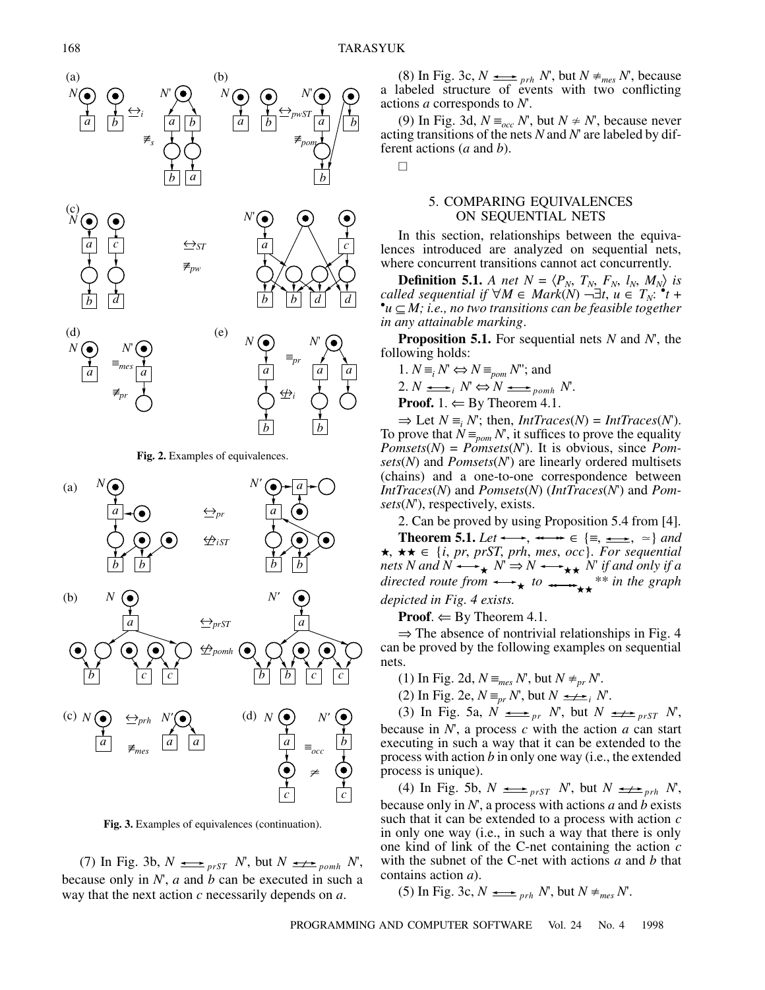$\Box$ 





**Fig. 3.** Examples of equivalences (continuation).

(7) In Fig. 3b,  $N \Leftrightarrow_{prST} N$ , but  $N \Leftrightarrow_{p \text{}} N$ , because only in *N*', *a* and *b* can be executed in such a way that the next action *c* necessarily depends on *a*.

(8) In Fig. 3c,  $N \longrightarrow_{prh} N'$ , but  $N \neq_{mes} N'$ , because a labeled structure of events with two conflicting actions *a* corresponds to *N*'.

(9) In Fig. 3d,  $N \equiv_{occ} N'$ , but  $N \neq N'$ , because never acting transitions of the nets *N* and *N*' are labeled by different actions (*a* and *b*).

# 5. COMPARING EQUIVALENCES ON SEQUENTIAL NETS

In this section, relationships between the equivalences introduced are analyzed on sequential nets, where concurrent transitions cannot act concurrently.

**Definition 5.1.** *A net*  $N = \langle P_N, T_N, F_N, l_N, M_N \rangle$  *is called sequential if*  $\forall M \in \text{Mark}(N) \rightarrow \exists t, u \in T_N$ .  $^*t +$ <br>• $u \subset M$ : *i.e., no two transitions can be feasible together u* ⊆ *M; i.e., no two transitions can be feasible together in any attainable marking*.

**Proposition 5.1.** For sequential nets *N* and *N*', the following holds:

1.  $N \equiv_i N \Leftrightarrow N \equiv_{\text{pom}} N$ "; and

$$
2. N \longrightarrow_{i} N \Leftrightarrow N \longrightarrow_{pomh} N.
$$

**Proof.** 1.  $\Leftarrow$  By Theorem 4.1.

 $\Rightarrow$  Let  $N \equiv_i N'$ ; then, *IntTraces(N)* = *IntTraces(N)*. To prove that  $N \equiv_{\text{pom}} N$ , it suffices to prove the equality *Pomsets*( $N$ ) = *Pomsets*( $N$ ). It is obvious, since *Pomsets*(*N*) and *Pomsets*(*N*') are linearly ordered multisets (chains) and a one-to-one correspondence between *IntTraces*(*N*) and *Pomsets*(*N*) (*IntTraces*(*N*') and *Pomsets*(*N*'), respectively, exists.

2. Can be proved by using Proposition 5.4 from [4].

**Theorem 5.1.** *Let*  $\longleftrightarrow$ ,  $\longleftrightarrow$   $\in$   $\{\equiv, \Longrightarrow, \simeq\}$  *and*  $\star$ ,  $\star \star \in \{i, pr, prST, prh, mes, occ\}$ *. For sequential nets N and N*  $\longleftrightarrow_{\star} N \Rightarrow N \longleftrightarrow_{\star \star} N'$  *if and only if a directed route from*  $\longleftrightarrow$  *to*  $\longleftrightarrow$  <sup>\*\*</sup> *in the graph depicted in Fig. 4 exists.*  $\star N \Rightarrow N \leftrightarrow \star \star$  $\star$   $^{10}$   $\rightarrow$   $\rightarrow$   $\star$ 

**Proof.**  $\Leftarrow$  By Theorem 4.1.

 $\Rightarrow$  The absence of nontrivial relationships in Fig. 4 can be proved by the following examples on sequential nets.

- (1) In Fig. 2d,  $N \equiv_{mes} N'$ , but  $N \neq_{pr} N'$ .
- (2) In Fig. 2e,  $N \equiv_{pr} N'$ , but  $N \longrightarrow_{i} N'$ .

(3) In Fig. 5a,  $N \Leftrightarrow_{pr} N'$ , but  $N \Leftrightarrow_{prST} N'$ , because in *N*', a process *c* with the action *a* can start executing in such a way that it can be extended to the process with action *b* in only one way (i.e., the extended process is unique).

(4) In Fig. 5b,  $N \longrightarrow_{prST} N$ , but  $N \longrightarrow_{prh} N$ , because only in *N*', a process with actions *a* and *b* exists such that it can be extended to a process with action *c* in only one way (i.e., in such a way that there is only one kind of link of the C-net containing the action *c* with the subnet of the C-net with actions *a* and *b* that contains action *a*).

(5) In Fig. 3c,  $N \longrightarrow_{prh} N'$ , but  $N \neq_{mes} N'$ .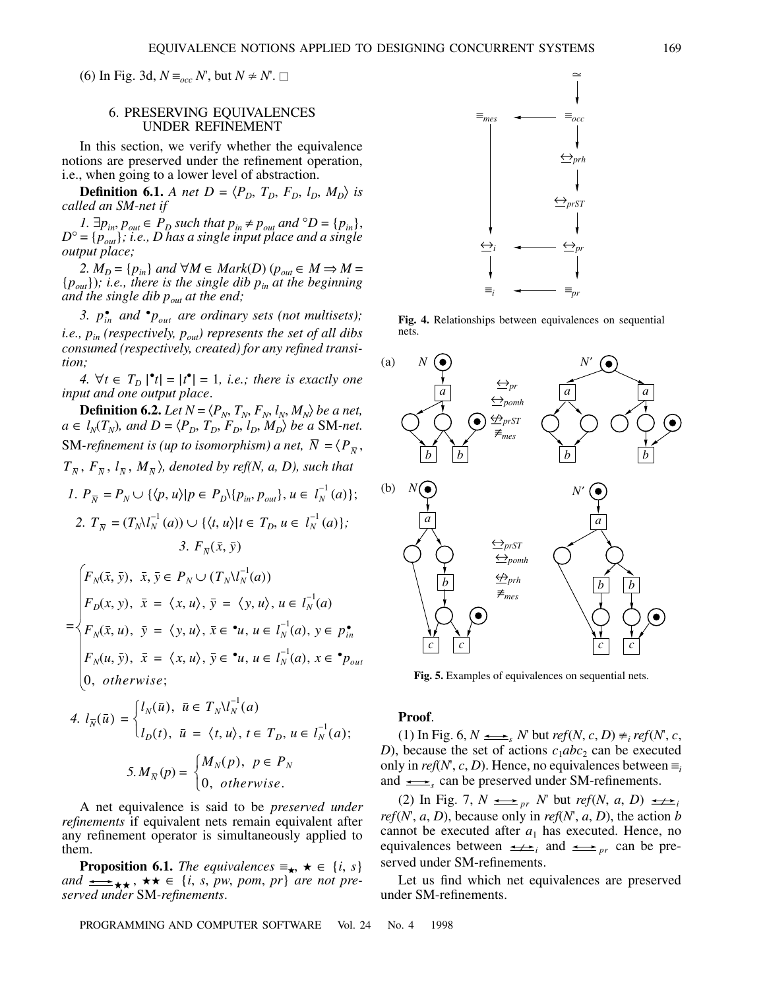(6) In Fig. 3d,  $N \equiv_{occ} N'$ , but  $N \neq N'$ . □

# 6. PRESERVING EQUIVALENCES UNDER REFINEMENT

In this section, we verify whether the equivalence notions are preserved under the refinement operation, i.e., when going to a lower level of abstraction.

**Definition 6.1.** *A net D* =  $\langle P_D, T_D, F_D, l_D, M_D \rangle$  *is called an SM-net if*

*1.*  $\exists p_{in}, p_{out} \in P_D$  such that  $p_{in} ≠ p_{out}$  and  $\degree D = \{p_{in}\},\$ *D*° = {*pout*}*; i.e., D has a single input place and a single output place;*

2.  $M_D = \{p_{in}\}\$ and  $\forall M \in \text{Mark}(D)$  ( $p_{out} \in M \Rightarrow M =$  ${p_{out}}$ )*; i.e., there is the single dib*  $p_{in}$  *at the beginning and the single dib*  $p_{out}$  *at the end;* 

3.  $p_{in}^{\bullet}$  and  ${}^{\bullet}p_{out}$  are ordinary sets (not multisets); *i.e., pin (respectively, pout) represents the set of all dibs consumed (respectively, created) for any refined transition;*

*4.*  $\forall t \in T_D \, |^{\bullet}t| = |t^{\bullet}| = 1$ , *i.e.; there is exactly one input and one output place*.

**Definition 6.2.** *Let*  $N = \langle P_N, T_N, F_N, l_N, M_N \rangle$  *be a net,*  $a \in l_N(T_N)$ , and  $D = \langle P_D, T_D, F_D, l_D, M_D \rangle$  be a SM-net. SM-refinement is (up to isomorphism) a net,  $N = \langle P_{\overline{N}}, \rangle$  $T_{\overline{N}}$ ,  $F_{\overline{N}}$ ,  $l_{\overline{N}}$ ,  $M_{\overline{N}}$ ), denoted by ref(N, a, D), such that

1. 
$$
P_{\overline{N}} = P_N \cup \{ \langle p, u \rangle | p \in P_D \setminus \{ p_{in}, p_{out} \}, u \in l_N^{-1}(a) \};
$$
  
\n2.  $T_{\overline{N}} = (T_N l_N^{-1}(a)) \cup \{ \langle t, u \rangle | t \in T_D, u \in l_N^{-1}(a) \};$   
\n3.  $F_{\overline{N}}(\overline{x}, \overline{y})$ 

$$
F_N(\bar{x}, \bar{y}), \ \bar{x}, \bar{y} \in P_N \cup (T_N V_N^{-1}(a))
$$
\n
$$
F_D(x, y), \ \bar{x} = \langle x, u \rangle, \ \bar{y} = \langle y, u \rangle, \ u \in I_N^{-1}(a)
$$
\n
$$
F_N(\bar{x}, u), \ \bar{y} = \langle y, u \rangle, \ \bar{x} \in \mathbf{u}, \ u \in I_N^{-1}(a), \ y \in p_m^{\bullet}
$$
\n
$$
F_N(u, \bar{y}), \ \bar{x} = \langle x, u \rangle, \ \bar{y} \in \mathbf{u}, \ u \in I_N^{-1}(a), \ x \in \mathbf{v}_{Dout}
$$
\n
$$
(0, \ otherwise;
$$

4. 
$$
l_{\overline{N}}(\overline{u}) = \begin{cases} l_N(\overline{u}), & \overline{u} \in T_N \backslash l_N^{-1}(a) \\ l_D(t), & \overline{u} = \langle t, u \rangle, t \in T_D, u \in l_N^{-1}(a); \end{cases}
$$
  
5. 
$$
M_{\overline{N}}(p) = \begin{cases} M_N(p), & p \in P_N \\ 0, & otherwise. \end{cases}
$$

A net equivalence is said to be *preserved under refinements* if equivalent nets remain equivalent after any refinement operator is simultaneously applied to them.

**Proposition 6.1.** *The equivalences*  $\equiv_{\star}$ ,  $\star \in \{i, s\}$ *and* , ∈ {*i*, *s*, *pw*, *pom*, *pr*} *are not pre served under* SM*-refinements*.



**Fig. 4.** Relationships between equivalences on sequential nets.



**Fig. 5.** Examples of equivalences on sequential nets.

#### **Proof**.

(1) In Fig. 6,  $N \leq r$  but  $ref(N, c, D) \neq_{i} ref(N, c, C)$ *D*), because the set of actions  $c_1abc_2$  can be executed only in *ref*(*N*', *c*, *D*). Hence, no equivalences between  $\equiv$ and  $\xrightarrow{\bullet}$  can be preserved under SM-refinements.

(2) In Fig. 7,  $N \longrightarrow_{pr} N'$  but *ref*(*N*, *a*, *D*)  $\longrightarrow_{i}$ *ref*( $N$ ,  $a$ ,  $D$ ), because only in *ref*( $N$ ,  $a$ ,  $D$ ), the action  $b$ cannot be executed after  $a_1$  has executed. Hence, no equivalences between  $\longrightarrow$ <sub>*i*</sub> and  $\longrightarrow$ <sub>*pr*</sub> can be preserved under SM-refinements.

Let us find which net equivalences are preserved under SM-refinements.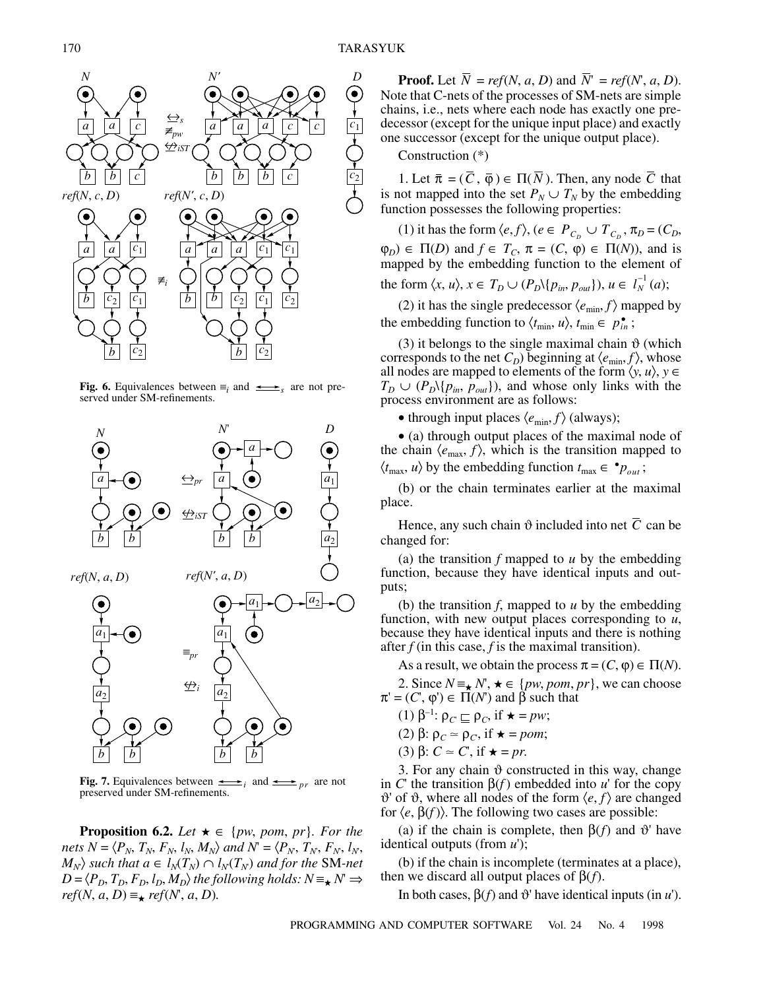

**Fig. 6.** Equivalences between  $\equiv_i$  and  $\longrightarrow$ <sub>s</sub> are not preserved under SM-refinements.



**Fig. 7.** Equivalences between  $\underset{\longrightarrow}{\longrightarrow}$  and  $\underset{p}{\longrightarrow}$  are not preserved under SM-refinements.

**Proposition 6.2.** *Let*  $\star \in \{pw, pom, pr\}$ *. For the nets*  $N = \langle P_N, T_N, F_N, l_N, M_N \rangle$  and  $N = \langle P_N, T_N, F_N, l_N,$  $\langle M_N \rangle$  such that  $a \in l_N(T_N) \cap l_N(T_N)$  and for the SM-net  $D = \langle P_D, T_D, F_D, l_D, M_D \rangle$  the following holds:  $N \equiv \star N \Rightarrow$  $ref(N, a, D) \equiv_{\star} ref(N, a, D)$ .

**Proof.** Let  $\overline{N}$  = *ref*(*N*, *a*, *D*) and  $\overline{N}$ <sup>*r*</sup> = *ref*(*N*<sup>*r*</sup>, *a*, *D*). Note that C-nets of the processes of SM-nets are simple chains, i.e., nets where each node has exactly one predecessor (except for the unique input place) and exactly one successor (except for the unique output place).

Construction (\*)

1. Let  $\bar{\pi} = (C, \bar{\varphi}) \in \Pi(\bar{N})$ . Then, any node C that is not mapped into the set  $P_N \cup T_N$  by the embedding function possesses the following properties:

(1) it has the form  $\langle e, f \rangle$ ,  $(e \in P_{C_D} \cup T_{C_D}, \pi_D = (C_D,$  $\varphi_D$ )  $\in \Pi(D)$  and  $f \in T_C$ ,  $\pi = (C, \varphi) \in \Pi(N)$ , and is mapped by the embedding function to the element of the form  $\langle x, u \rangle, x \in T_D \cup (P_D \setminus \{p_{in}, p_{out}\}), u \in I_N^{-1}(a);$ 

(2) it has the single predecessor  $\langle e_{\min}, f \rangle$  mapped by

the embedding function to  $\langle t_{\min}, u \rangle$ ,  $t_{\min} \in p_{in}^{\bullet}$ ;

(3) it belongs to the single maximal chain  $\vartheta$  (which corresponds to the net  $C_D$ ) beginning at  $\langle e_{\min}, f \rangle$ , whose all nodes are mapped to elements of the form  $\langle y, u \rangle$ ,  $y \in$  $T_D \cup (P_D \setminus \{p_{in}, p_{out}\})$ , and whose only links with the process environment are as follows:

• through input places  $\langle e_{\min}, f \rangle$  (always);

• (a) through output places of the maximal node of the chain  $\langle e_{\text{max}}, f \rangle$ , which is the transition mapped to  $\langle t_{\text{max}}, u \rangle$  by the embedding function  $t_{\text{max}} \in \mathbf{P}_{out}$ ;

(b) or the chain terminates earlier at the maximal place.

Hence, any such chain  $\vartheta$  included into net C can be changed for:

(a) the transition *f* mapped to *u* by the embedding function, because they have identical inputs and outputs;

(b) the transition *f*, mapped to *u* by the embedding function, with new output places corresponding to *u*, because they have identical inputs and there is nothing after  $f$  (in this case,  $f$  is the maximal transition).

As a result, we obtain the process  $\pi = (C, \varphi) \in \Pi(N)$ .

2. Since  $N \equiv_{\star} N$ ,  $\star \in \{pw, pom, pr\}$ , we can choose  $\pi' = (C, \varphi') \in \Pi(N')$  and  $\beta$  such that

- (1) β<sup>-1</sup>:  $ρ<sub>C</sub>$   $\sqsubseteq$   $ρ<sub>C</sub>$ , if  $\star = pw$ ;
- (2) β:  $ρ<sub>C</sub> ≈ ρ<sub>C</sub>$ , if  $\star = pom$ ;
- (3)  $\beta$ :  $C \approx C'$ , if  $\star = pr$ .

3. For any chain  $\vartheta$  constructed in this way, change in *C*' the transition β(*f* ) embedded into *u*' for the copy  $\vartheta'$  of  $\vartheta$ , where all nodes of the form  $\langle e, f \rangle$  are changed for  $\langle e, \beta(f) \rangle$ . The following two cases are possible:

(a) if the chain is complete, then  $\beta(f)$  and  $\vartheta'$  have identical outputs (from *u*');

(b) if the chain is incomplete (terminates at a place), then we discard all output places of  $β(f)$ .

In both cases,  $β(f)$  and  $\vartheta$ ' have identical inputs (in *u*').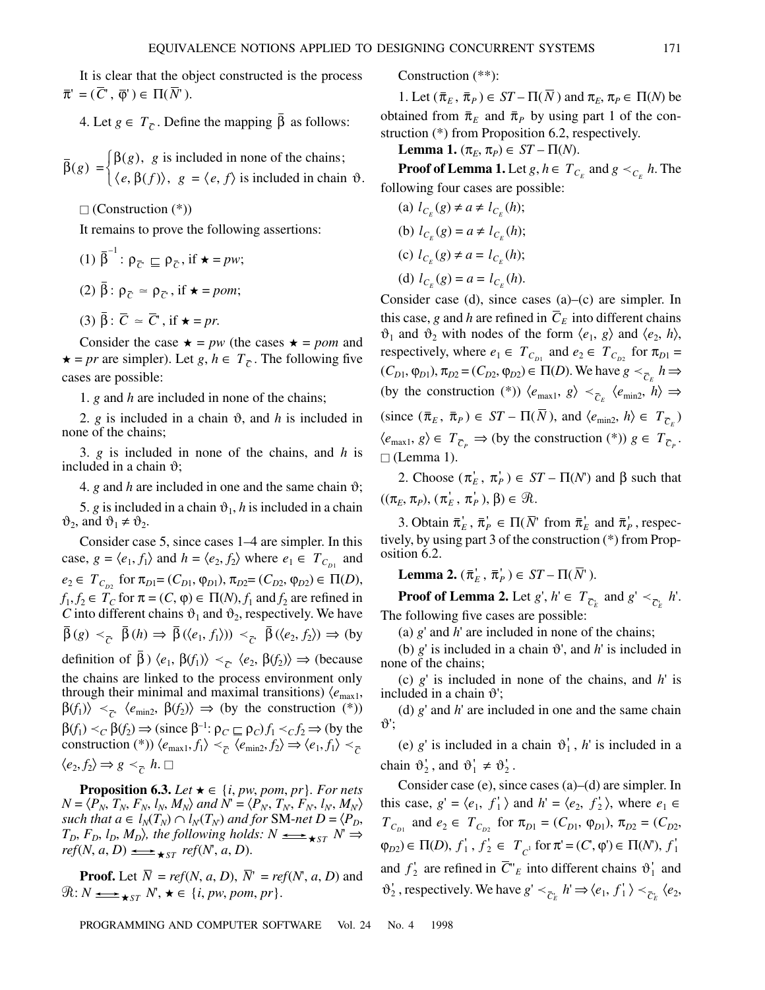It is clear that the object constructed is the process  $\bar{\pi}$ <sup>'</sup> = ( $\bar{C}$ ',  $\bar{\varphi}$ ')  $\in \Pi(\bar{N}$ ').

4. Let *g*  $\in T_{\overline{C}}$ . Define the mapping β as follows:

 $\bar{\beta}(g) = \begin{cases} \beta(g), & g \text{ is included in none of the chains;} \\ \beta(g) & \beta(g) \end{cases}$  $=\begin{cases} \beta(g), & g \text{ is included in none of the chains;} \\ \langle e, \beta(f) \rangle, & g = \langle e, f \rangle \text{ is included in chain } \vartheta. \end{cases}$ 

 $\Box$  (Construction  $(*)$ )

It remains to prove the following assertions:

- (1)  $\bar{\beta}^{-1}$ :  $\rho_{\bar{C}} \sqsubseteq \rho_{\bar{C}}$ , if  $\star = pw$ ;
- (2) β :  $ρ<sub>C</sub>$  ≈  $ρ<sub>C</sub>$ , if **\*** = *pom*;

(3) 
$$
\bar{\beta}
$$
:  $\bar{C} \approx \bar{C}$ , if  $\star = pr$ .

Consider the case  $\star = pw$  (the cases  $\star = pom$  and **★** = *pr* are simpler). Let *g*, *h* ∈  $T_{\overline{C}}$ . The following five cases are possible:

1. *g* and *h* are included in none of the chains;

2.  $g$  is included in a chain  $\vartheta$ , and  $h$  is included in none of the chains;

3. *g* is included in none of the chains, and *h* is included in a chain  $\vartheta$ ;

4. *g* and *h* are included in one and the same chain  $\vartheta$ ;

5. *g* is included in a chain  $\vartheta_1$ , *h* is included in a chain  $\vartheta_2$ , and  $\vartheta_1 \neq \vartheta_2$ .

Consider case 5, since cases 1–4 are simpler. In this case,  $g = \langle e_1, f_1 \rangle$  and  $h = \langle e_2, f_2 \rangle$  where  $e_1 \in T_{C_{D_1}}$  and  $e_2 \in T_{C_{D2}}$  for  $\pi_{D1} = (C_{D1}, \varphi_{D1}), \pi_{D2} = (C_{D2}, \varphi_{D2}) \in \Pi(D)$ ,  $f_1, f_2 \in T_C$  for  $\pi = (C, \varphi) \in \Pi(N)$ ,  $f_1$  and  $f_2$  are refined in *C* into different chains  $\vartheta_1$  and  $\vartheta_2$ , respectively. We have  $\beta(g) \prec_{\overline{C}} \beta(h) \Rightarrow \beta(\langle e_1, f_1 \rangle) \prec_{\overline{C}} \beta(\langle e_2, f_2 \rangle) \Rightarrow (by)$ definition of  $\beta$ )  $\langle e_1, \beta(f_1) \rangle \prec_{\overline{C}} \langle e_2, \beta(f_2) \rangle \Rightarrow$  (because the chains are linked to the process environment only through their minimal and maximal transitions)  $\langle e_{\text{max1}}$ ,  $\beta(f_1) \rangle \prec_{\overline{C}} \langle e_{\text{min2}}, \beta(f_2) \rangle \Rightarrow (\text{by the construction } (*)$  $\beta(f_1) <_C \beta(f_2) \Rightarrow$  (since  $\beta^{-1}: \rho_C \sqsubseteq \rho_C$ )  $f_1 <_C f_2 \Rightarrow$  (by the construction (\*))  $\langle e_{\text{max1}}, f_1 \rangle \prec_{\overline{C}} \langle e_{\text{min2}}, f_2 \rangle \Rightarrow \langle e_1, f_1 \rangle \prec_{\overline{C}}$  $\langle e_2, f_2 \rangle \Rightarrow g \prec_{\overline{C}} h.$ 

**Proposition 6.3.** *Let*  $\star \in \{i, pw, pom, pr\}$ *. For nets*  $N = \langle P_N, T_N, F_N, l_N, M_N \rangle$  and  $N' = \langle P_N, T_N, F_N, l_N, M_N \rangle$  $\mathcal{L}_{N}(T_{N}) \cap l_{N}(T_{N})$  and for **SM**-net  $D = \langle P_{D}, P_{N}(T_{N}) \rangle$  $T_D$ ,  $F_D$ ,  $I_D$ ,  $M_D$ ), the following holds:  $N \implies$   $\star_{ST} N \implies$  $ref(N, a, D) \longrightarrow \text{Hilb}(N, a, D).$ 

**Proof.** Let  $\overline{N}$  = *ref*(*N*, *a*, *D*),  $\overline{N}$ <sup>r</sup> = *ref*(*N*<sup>*r*</sup>, *a*, *D*) and  $\mathcal{R}: N \longrightarrow K_{ST} N, \star \in \{i, pw, pom, pr\}.$ 

Construction (\*\*):

1. Let  $(\bar{\pi}_E, \bar{\pi}_P) \in ST - \Pi(N)$  and  $\pi_E, \pi_P \in \Pi(N)$  be obtained from  $\bar{\pi}_E$  and  $\bar{\pi}_P$  by using part 1 of the construction (\*) from Proposition 6.2, respectively.

**Lemma 1.**  $(\pi_F, \pi_P) \in ST - \Pi(N)$ .

**Proof of Lemma 1.** Let  $g, h \in T_{C_E}$  and  $g \lt_{C_E} h$ . The following four cases are possible:

(a) 
$$
l_{C_E}(g) \neq a \neq l_{C_E}(h)
$$
;  
\n(b)  $l_{C_E}(g) = a \neq l_{C_E}(h)$ ;  
\n(c)  $l_{C_E}(g) \neq a = l_{C_E}(h)$ ;  
\n(d)  $l_{C_E}(g) = a = l_{C_E}(h)$ .

Consider case (d), since cases (a)–(c) are simpler. In this case, *g* and *h* are refined in  $C_E$  into different chains  $\vartheta_1$  and  $\vartheta_2$  with nodes of the form  $\langle e_1, g \rangle$  and  $\langle e_2, h \rangle$ , respectively, where  $e_1 \in T_{C_{D_1}}$  and  $e_2 \in T_{C_{D_2}}$  for  $\pi_{D_1} =$  $(C_{D1}, \varphi_{D1}), \pi_{D2} = (C_{D2}, \varphi_{D2}) \in \Pi(D)$ . We have  $g \lt_{\overline{C_E}} h \Rightarrow$ (by the construction (\*))  $\langle e_{\text{max1}}, g \rangle \prec_{\overline{C}_E} \langle e_{\text{min2}}, h \rangle \Rightarrow$  $(\text{since } (\bar{\pi}_E, \bar{\pi}_P) \in ST - \Pi(\bar{N}), \text{ and } \langle e_{\text{min2}}, h \rangle \in T_{\bar{C}_E})$  $\langle e_{\text{max1}}, g \rangle \in T_{\overline{C}_P} \Rightarrow \text{(by the construction (*)}) g \in T_{\overline{C}_P}.$  $\Box$  (Lemma 1).

2. Choose  $(\pi_E^{\prime}, \pi_P^{\prime}) \in ST - \Pi(N^{\prime})$  and  $\beta$  such that  $((\pi_E, \pi_P), (\pi_E^+, \pi_P^+), \beta) \in \mathcal{R}$ .

3. Obtain  $\bar{\pi}_E^{\prime}$ ,  $\bar{\pi}_P^{\prime} \in \Pi(\bar{N}^{\prime} \text{ from } \bar{\pi}_E^{\prime} \text{ and } \bar{\pi}_P^{\prime}, \text{respect-}$ tively, by using part 3 of the construction (\*) from Proposition 6.2.

**Lemma 2.**  $(\overline{\pi}_E^{\prime}, \overline{\pi}_P^{\prime}) \in ST - \Pi(\overline{N}^{\prime})$ .

**Proof of Lemma 2.** Let *g'*,  $h' \in T_{\overline{C}_E}$  and  $g' \prec_{\overline{C}_E} h'$ . The following five cases are possible:

(a) *g*' and *h*' are included in none of the chains;

(b)  $g'$  is included in a chain  $\vartheta'$ , and *h*' is included in none of the chains;

(c) *g*' is included in none of the chains, and *h*' is included in a chain  $\vartheta$ ';

(d) *g*' and *h*' are included in one and the same chain  $\vartheta$ ':

(e)  $g'$  is included in a chain  $\vartheta'_1$ , *h*' is included in a chain  $\vartheta_2'$ , and  $\vartheta_1' \neq \vartheta_2'$ .

Consider case (e), since cases (a)–(d) are simpler. In this case,  $g' = \langle e_1, f'_1 \rangle$  and  $h' = \langle e_2, f'_2 \rangle$ , where  $e_1 \in$  $T_{C_{D1}}$  and  $e_2 \in T_{C_{D2}}$  for  $\pi_{D1} = (C_{D1}, \varphi_{D1}), \pi_{D2} = (C_{D2}, \varphi_{D2})$  $(\varphi_{D2}) \in \Pi(D), f'_1, f'_2 \in T_{c^1}$  for  $\pi' = (C, \varphi') \in \Pi(N), f'_1$ and  $f'_2$  are refined in  $\overline{C}^v{}_E$  into different chains  $\vartheta'_1$  and  $\vartheta_2'$ , respectively. We have  $g' \prec_{\overline{C}_E} h' \Rightarrow \langle e_1, f'_1 \rangle \prec_{\overline{C}_E} \langle e_2, f'_2 \rangle$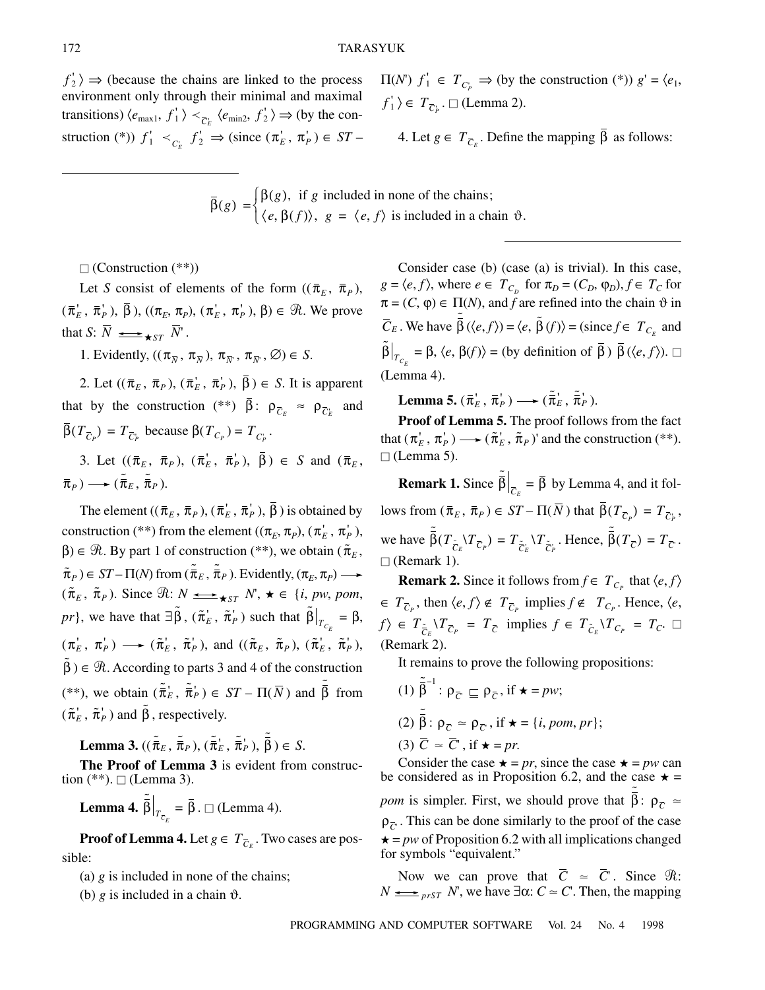$f'_2$   $\Rightarrow$  (because the chains are linked to the process environment only through their minimal and maximal transitions)  $\langle e_{\text{max1}}, f_1' \rangle \prec_{\overline{C}_E} \langle e_{\text{min2}}, f_2' \rangle \Rightarrow$  (by the construction (\*))  $f'_1 \lt_{C_E} f'_2 \Rightarrow$  (since  $(\pi'_E, \pi'_P) \in ST$ 

 $\Pi(N)$   $f'_1 \in T_{C_p} \Rightarrow$  (by the construction (\*))  $g' = \langle e_1, e_2 \rangle$  $f'_1$   $\rangle \in T_{\overline{C}_P}$ .  $\square$  (Lemma 2).

4. Let *g* ∈  $T_{\overline{C}_E}$ . Define the mapping β as follows:

$$
\bar{\beta}(g) = \begin{cases} \beta(g), & \text{if } g \text{ included in none of the chains;} \\ \langle e, \beta(f) \rangle, & g = \langle e, f \rangle \text{ is included in a chain } \vartheta. \end{cases}
$$

 $\Box$  (Construction  $(**))$ 

Let *S* consist of elements of the form  $((\bar{\pi}_E, \bar{\pi}_P),$  $(\bar{\pi}_E', \bar{\pi}_P'), \bar{\beta}$ ,  $((\pi_E, \pi_P), (\pi_E', \pi_P'), \beta) \in \mathcal{R}$ . We prove that *S*:  $N \longrightarrow$   $\star$ <sub>*ST*</sub>  $N'$ .

1. Evidently,  $((\pi_{\overline{N}}, \pi_{\overline{N}}), \pi_{\overline{N}}, \pi_{\overline{N}}, \emptyset) \in S$ .

2. Let  $((\bar{\pi}_E, \bar{\pi}_P), (\bar{\pi}'_E, \bar{\pi}'_P), \beta) \in S$ . It is apparent that by the construction (\*\*)  $\beta: \rho_{\overline{C}_E} \approx \rho_{\overline{C}_E}$  and  $β(T_{\overline{C}_P}) = T_{\overline{C}_P}$  because  $β(T_{C_P}) = T_{C_P}$ .

3. Let  $((\bar{\pi}_E, \bar{\pi}_P), (\bar{\pi}'_E, \bar{\pi}'_P), \beta) \in S$  and  $(\bar{\pi}_E, \bar{\pi}'_P)$  $\bar{\pi}_P$ )  $\longrightarrow$   $(\tilde{\bar{\pi}}_E, \tilde{\bar{\pi}}_P)$ .

The element  $((\bar{\pi}_E, \bar{\pi}_P), (\bar{\pi}'_E, \bar{\pi}'_P), \beta)$  is obtained by construction (\*\*) from the element  $((\pi_E, \pi_P), (\pi_E^+, \pi_P^+))$ ,  $\beta$ )  $\in \mathcal{R}$ . By part 1 of construction (\*\*), we obtain ( $\tilde{\pi}_E$ ,  $\tilde{\pi}_P$ )  $\in ST - \Pi(N)$  from  $(\tilde{\bar{\pi}}_E, \tilde{\bar{\pi}}_P)$ . Evidently,  $(\pi_E, \pi_P)$  $({\tilde{\pi}}_E, {\tilde{\pi}}_P)$ . Since  $\Re: N \longrightarrow$   $\star$   $S_T N$ ,  $\star \in \{i, pw, pom, P\}$ *pr*}, we have that  $\exists \tilde{\beta}$ ,  $(\tilde{\pi}_E', \tilde{\pi}_P')$  such that  $\tilde{\beta}\Big|_{T_c} = \beta$ ,  $(\pi_E^{\prime}, \pi_P^{\prime}) \longrightarrow (\tilde{\pi}_E^{\prime}, \tilde{\pi}_P^{\prime}),$  and  $((\tilde{\pi}_E, \tilde{\pi}_P), (\tilde{\pi}_E^{\prime}, \tilde{\pi}_P^{\prime}),$  $\tilde{\beta}$ )  $\in \mathcal{R}$ . According to parts 3 and 4 of the construction (\*\*), we obtain  $({\tilde{\bar{\pi}}}_E^{\dagger}, {\tilde{\bar{\pi}}}_P^{\dagger}) \in ST - \Pi(\overline{N})$  and  $\tilde{\bar{\beta}}$  from  $(\tilde{\pi}_E', \tilde{\pi}_P')$  and  $\tilde{\beta}$ , respectively.  $T_{C_E}$ 

**Lemma 3.**  $((\tilde{\bar{\pi}}_E, \tilde{\bar{\pi}}_P), (\tilde{\bar{\pi}}_E^i, \tilde{\bar{\pi}}_P^i), \tilde{\bar{\beta}}) \in S$ .

**The Proof of Lemma 3** is evident from construction  $(*^*)$ .  $\Box$  (Lemma 3).

**Lemma 4.**  $\left.\tilde{\bar{\beta}}\right|_{T_-} = \bar{\beta}$ .  $\Box$  (Lemma 4).  $T_{\bar{c}_E} = \beta$ 

**Proof of Lemma 4.** Let  $g \in T_{\overline{C}_E}$ . Two cases are possible:

(a) *g* is included in none of the chains;

(b)  $g$  is included in a chain  $\vartheta$ .

Consider case (b) (case (a) is trivial). In this case,  $g = \langle e, f \rangle$ , where  $e \in T_{C_D}$  for  $\pi_D = (C_D, \varphi_D), f \in T_C$  for  $\pi = (C, \varphi) \in \Pi(N)$ , and *f* are refined into the chain  $\vartheta$  in  $\overline{C}_E$ . We have  $\overline{\hat{\beta}}(\langle e, f \rangle) = \langle e, \overline{\hat{\beta}}(f) \rangle = (\text{since } f \in T_{C_E} \text{ and }$  $\tilde{\beta}\Big|_{T} = \beta, \langle e, \beta(f) \rangle = (\text{by definition of } \overline{\beta}) \overline{\beta}(\langle e, f \rangle).$ (Lemma 4).  $T_{C_E}$  =  $\beta$ ,  $\langle e, \beta(f) \rangle$  = (by definition of  $\beta$ )  $\beta$ 

Lemma 5.  $(\bar{\pi}_E', \bar{\pi}_P') \longrightarrow (\tilde{\bar{\pi}}_E', \tilde{\bar{\pi}}_P').$ 

**Proof of Lemma 5.** The proof follows from the fact that  $(\pi_E', \pi_P') \longrightarrow (\tilde{\pi}_E', \tilde{\pi}_P)'$  and the construction (\*\*).  $\Box$  (Lemma 5).

**Remark 1.** Since  $\tilde{\bar{\beta}}\Big|_{\bar{c}} = \bar{\beta}$  by Lemma 4, and it fol- $\text{rows from } (\bar{\pi}_E, \bar{\pi}_P) \in ST - \Pi(N) \text{ that } β(T_{\bar{C}_P}) = T_{\bar{C}_P},$ we have  $\tilde{\bar{\beta}}(T_{\tilde{C}_{E}} \backslash T_{\overline{C}_{P}}) = T_{\tilde{C}_{E}} \backslash T_{\tilde{C}_{P}}$ . Hence,  $\tilde{\bar{\beta}}(T_{\overline{C}}) = T_{\overline{C}}$ .  $\Box$  (Remark 1).  $_{\overline{C}_E} = \beta$ 

**Remark 2.** Since it follows from  $f \in T_{C_p}$  that  $\langle e, f \rangle$  $\in T_{\overline{C}_P}$ , then  $\langle e, f \rangle \notin T_{\overline{C}_P}$  implies  $f \notin T_{C_P}$ . Hence,  $\langle e, \rangle$  $f \geq T_{\tilde{C}_E} \setminus T_{\overline{C}_P} = T_{\overline{C}}$  implies  $f \in T_{\tilde{C}_E} \setminus T_{C_P} = T_{C}$ . (Remark 2).

It remains to prove the following propositions:

(1) 
$$
\tilde{\bar{\beta}}^{-1}
$$
:  $\rho_{\bar{C}} \sqsubseteq \rho_{\bar{C}}$ , if  $\star = pw$ ;  
\n(2)  $\tilde{\bar{\beta}}$ :  $\rho_{\bar{C}} \approx \rho_{\bar{C}}$ , if  $\star = \{i, pom, pr\}$ ;  
\n(3)  $\bar{C} \approx \bar{C}'$ , if  $\star = pr$ .

Consider the case  $\star = pr$ , since the case  $\star = pw$  can be considered as in Proposition 6.2, and the case  $\star$  = *pom* is simpler. First, we should prove that  $\tilde{\vec{\beta}}$ :  $\rho_{\vec{C}}$  =  $ρ<sub>C</sub>$ . This can be done similarly to the proof of the case  $\star$  = *pw* of Proposition 6.2 with all implications changed for symbols "equivalent."

Now we can prove that  $\overline{C}$   $\approx$   $\overline{C}$ . Since  $\Re$ :  $N \longrightarrow_{prST} N'$ , we have  $\exists \alpha: C \simeq C'$ . Then, the mapping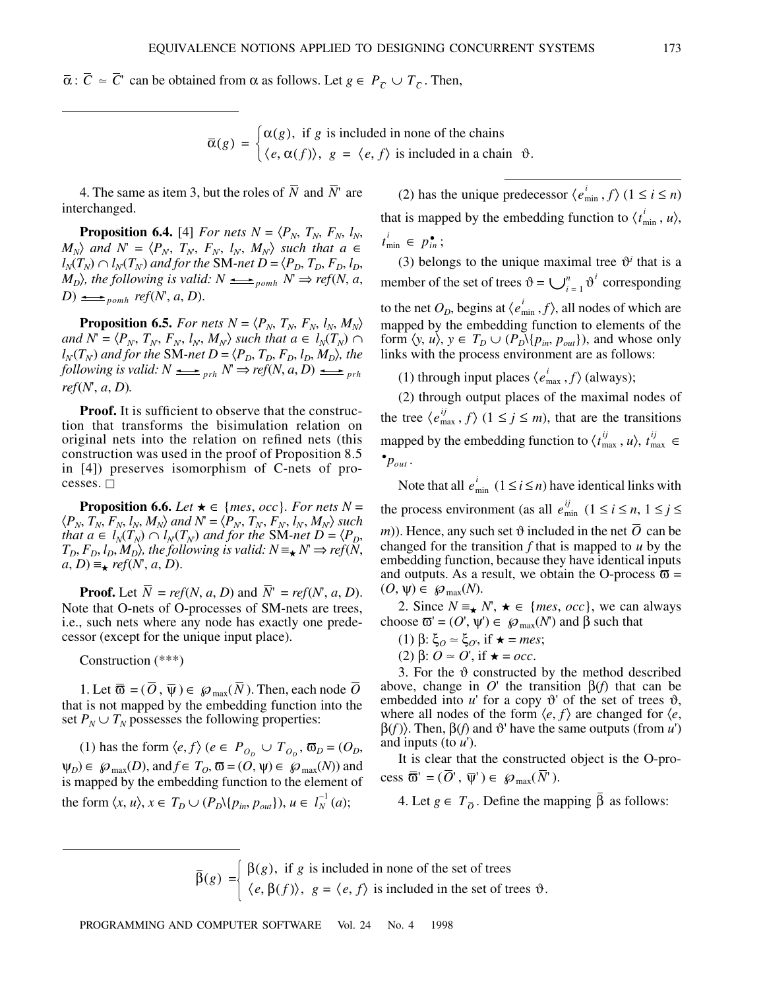$\overline{\alpha}$ :  $\overline{C} \simeq \overline{C}$ ' can be obtained from  $\alpha$  as follows. Let  $g \in P_{\overline{C}} \cup T_{\overline{C}}$ . Then,

 $\overline{\alpha}(g) = \begin{cases} \alpha(g), & \text{if } g \text{ is included in none of the chains} \\ \alpha(g) & \text{otherwise.} \end{cases}$  $= \begin{cases} \alpha(g), & \text{if } g \text{ is included in none of the chains} \\ \langle e, \alpha(f) \rangle, & \text{if } g = \langle e, f \rangle \text{ is included in a chain } \vartheta. \end{cases}$ 

4. The same as item 3, but the roles of  $\overline{N}$  and  $\overline{N}$  are interchanged.

**Proposition 6.4.** [4] *For nets*  $N = \langle P_N, T_N, F_N, l_N, \rangle$  $M_N$  *and*  $N' = \langle P_N, T_N, F_N, I_N, M_N \rangle$  *such that*  $a \in I$  $l_N(T_N) \cap l_N(T_N)$  and for the SM-net  $D = \langle P_D, T_D, F_D, l_D, \rangle$ *M*<sub>D</sub> $\rangle$ , the following is valid:  $N \implies p_{omh} N \Rightarrow ref(N, a, b)$  $D) \longrightarrow_{\text{p}} \text{erf}(N', a, D).$ 

**Proposition 6.5.** *For nets N* =  $\langle P_N, T_N, F_N, l_N, M_N \rangle$  $and N = \langle P_N, T_N, F_N, l_N, M_N \rangle$  such that  $a \in l_N(T_N) \cap$  $l_N(T_N)$  and for the SM-net  $D = \langle P_D, T_D, F_D, l_D, M_D \rangle$ , the *following is valid:*  $N \implies pr_h N \implies ref(N, a, D) \implies pr_h$ *ref*(*N*', *a*, *D*)*.*

**Proof.** It is sufficient to observe that the construction that transforms the bisimulation relation on original nets into the relation on refined nets (this construction was used in the proof of Proposition 8.5 in [4]) preserves isomorphism of C-nets of processes.  $\overline{\Box}$ 

**Proposition 6.6.** *Let*  $\star \in \{mes, occ\}$ *. For nets*  $N =$  $\langle P_N, T_N, F_N, l_N, M_N \rangle$  and  $N = \langle P_N, T_N, F_N, l_N, M_N \rangle$  such *that a*  $\in$   $l_N(T_N) \cap l_N(T_N)$  and for the SM-net  $D = \langle P_D, P_M \rangle$  $T_D$ ,  $F_D$ ,  $l_D$ ,  $M_D$ ), the following is valid:  $N \equiv \star N \Rightarrow ref(N,$  $a, D$ )  $\equiv$  *ref*(*N*', *a*, *D*).

**Proof.** Let  $\overline{N}$  = *ref*(*N*, *a*, *D*) and  $\overline{N}$ <sup>*r*</sup> = *ref*(*N*<sup>*r*</sup>, *a*, *D*). Note that O-nets of O-processes of SM-nets are trees, i.e., such nets where any node has exactly one predecessor (except for the unique input place).

Construction (\*\*\*)

1. Let  $\overline{\mathfrak{G}} = (O, \overline{\psi}) \in \mathcal{O}_{max}(\overline{N})$ . Then, each node O that is not mapped by the embedding function into the set  $P_N \cup T_N$  possesses the following properties:

(1) has the form  $\langle e, f \rangle$  ( $e \in P_{O_D} \cup T_{O_D}$ ,  $\overline{\omega}_D = (O_D,$  $\Psi_D$ )  $\in \mathcal{D}_{\max}(D)$ , and  $f \in T_O$ ,  $\overline{\omega} = (O, \psi) \in \mathcal{D}_{\max}(N)$  and is mapped by the embedding function to the element of the form  $\langle x, u \rangle, x \in T_D \cup (P_D \setminus \{p_{in}, p_{out}\}), u \in I_N^{-1}(a);$ 

(2) has the unique predecessor  $\langle e_{\min}^i, f \rangle$  ( $1 \le i \le n$ ) that is mapped by the embedding function to  $\langle t_{\min}^i, u \rangle$ ,  $t_{\min}^i \in p_{in}^{\bullet}$ ;

(3) belongs to the unique maximal tree  $\vartheta^i$  that is a member of the set of trees  $\vartheta = \bigcup_{i=1}^{n} \vartheta^i$  corresponding to the net  $O_D$ , begins at  $\langle e_{\min}^i, f \rangle$ , all nodes of which are mapped by the embedding function to elements of the form  $\langle y, u \rangle$ ,  $y \in T_D \cup (P_D \setminus \{p_{in}, p_{out}\})$ , and whose only links with the process environment are as follows:  $\bigcup_{i}^{n}$ 

(1) through input places  $\langle e_{\text{max}}^i, f \rangle$  (always);

(2) through output places of the maximal nodes of the tree  $\langle e_{\text{max}}^{ij}, f \rangle$   $(1 \leq j \leq m)$ , that are the transitions mapped by the embedding function to  $\langle t_{\text{max}}^{ij}, u \rangle$ ,  $t_{\text{max}}^{ij} \in$  $\bullet p_{\textit{out}}$ .

Note that all  $e_{\min}^i$   $(1 \le i \le n)$  have identical links with the process environment (as all  $e_{\min}^{ij}$   $(1 \le i \le n, 1 \le j \le n)$  $(m)$ ). Hence, any such set  $\vartheta$  included in the net O can be changed for the transition *f* that is mapped to *u* by the embedding function, because they have identical inputs and outputs. As a result, we obtain the O-process  $\overline{\omega}$  =  $(O, \psi) \in \mathcal{D}_{\text{max}}(N).$ 

2. Since  $N \equiv \sqrt{N}$ ,  $\star \in \{mes, occ\}$ , we can always choose  $\overline{\omega} = (O', \psi') \in \mathcal{D}_{\text{max}}(N')$  and  $\beta$  such that

(1) 
$$
\beta
$$
:  $\xi_O \simeq \xi_O$ , if  $\star = mes$ ;

(2) β:  $O \approx O'$ , if  $\star = occ$ .

3. For the  $\vartheta$  constructed by the method described above, change in  $O'$  the transition  $β(f)$  that can be embedded into  $u'$  for a copy  $\vartheta'$  of the set of trees  $\vartheta$ , where all nodes of the form  $\langle e, f \rangle$  are changed for  $\langle e, f \rangle$  $β(f)$ ). Then,  $β(f)$  and  $θ'$  have the same outputs (from *u*') and inputs (to *u*').

It is clear that the constructed object is the O-process  $\overline{\omega}^{\prime} = (O^{\prime}, \overline{\psi}^{\prime}) \in \mathcal{O}_{max}(N^{\prime}).$ 

4. Let *g*  $\in T_{\overline{O}}$ . Define the mapping β as follows:

$$
\bar{\beta}(g) = \begin{cases} \beta(g), & \text{if } g \text{ is included in none of the set of trees} \\ \langle e, \beta(f) \rangle, & \text{if } g = \langle e, f \rangle \text{ is included in the set of trees } \vartheta. \end{cases}
$$

PROGRAMMING AND COMPUTER SOFTWARE Vol. 24 No. 4 1998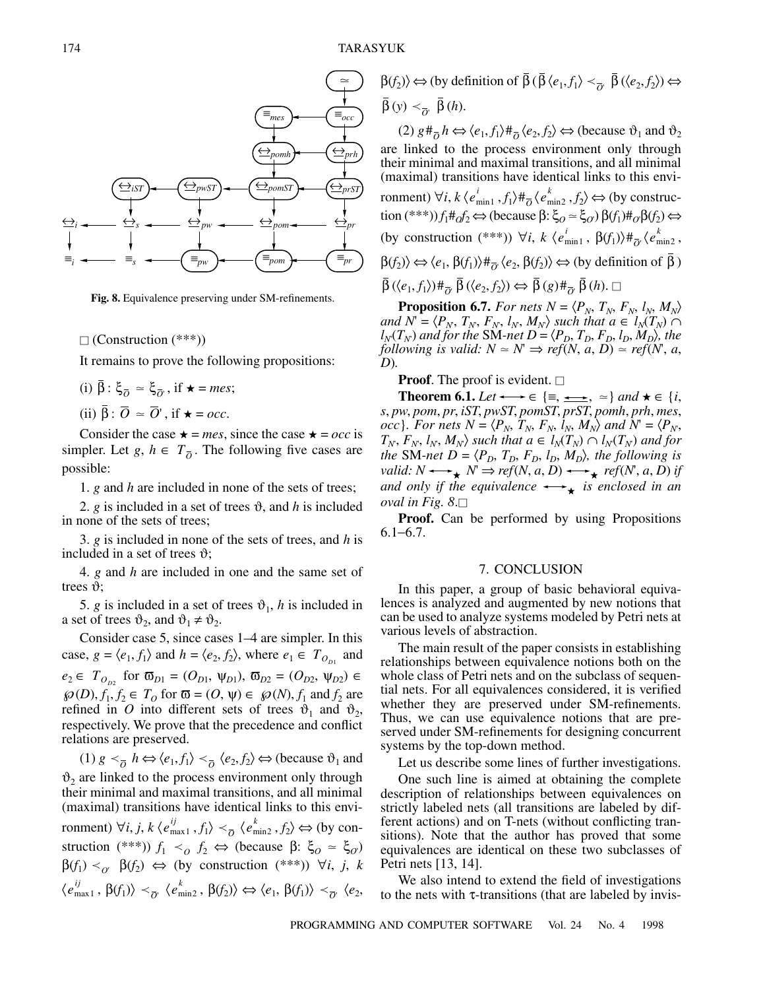

**Fig. 8.** Equivalence preserving under SM-refinements.

 $\Box$  (Construction (\*\*\*))

It remains to prove the following propositions:

 $(i)$   $\beta$ :  $\xi_{\overline{O}} \approx \xi_{\overline{O}}$ , if  $\star$  = *mes*;

(ii)  $\beta$  :  $\overline{O} \approx \overline{O}'$ , if  $\star = occ$ .

Consider the case  $\star$  = *mes*, since the case  $\star$  = *occ* is simpler. Let *g*,  $h \in T_{\overline{O}}$ . The following five cases are possible:

1. *g* and *h* are included in none of the sets of trees;

2.  $g$  is included in a set of trees  $\vartheta$ , and  $h$  is included in none of the sets of trees;

3. *g* is included in none of the sets of trees, and *h* is included in a set of trees  $\vartheta$ ;

4. *g* and *h* are included in one and the same set of trees  $\vartheta$ ;

5. *g* is included in a set of trees  $\vartheta_1$ , *h* is included in a set of trees  $\vartheta_2$ , and  $\vartheta_1 \neq \vartheta_2$ .

Consider case 5, since cases 1–4 are simpler. In this case,  $g = \langle e_1, f_1 \rangle$  and  $h = \langle e_2, f_2 \rangle$ , where  $e_1 \in T_{O_{D_1}}$  and  $e_2 \in T_{O_{D2}}$  for  $\overline{\omega}_{D1} = (O_{D1}, \Psi_{D1}), \overline{\omega}_{D2} = (O_{D2}, \Psi_{D2}) \in$  $\wp(D)$ ,  $f_1, f_2 \in T_O$  for  $\overline{\omega} = (O, \psi) \in \wp(N)$ ,  $f_1$  and  $f_2$  are refined in *O* into different sets of trees  $\vartheta_1$  and  $\vartheta_2$ , respectively. We prove that the precedence and conflict relations are preserved.

 $(1) g <sup>o</sup>_{\overline{O}} h \Leftrightarrow \langle e_1, f_1 \rangle <sup>o</sup>_{\overline{O}} \langle e_2, f_2 \rangle \Leftrightarrow$  (because  $\vartheta_1$  and  $\vartheta_2$  are linked to the process environment only through their minimal and maximal transitions, and all minimal (maximal) transitions have identical links to this environment)  $\forall i, j, k \langle e^{ij}_{\text{max}1}, f_1 \rangle \prec_{\overline{O}} \langle e^{k}_{\text{min}2}, f_2 \rangle \Leftrightarrow \text{(by con-}$ struction (\*\*\*))  $f_1 \leq f_2 \Leftrightarrow$  (because  $\beta$ :  $\xi_0 \approx \xi_0$ )  $\beta(f_1) <_{\mathcal{O}} \beta(f_2) \Leftrightarrow$  (by construction (\*\*\*))  $\forall i, j, k$  $\langle e_{\text{max}1}^{ij}, \beta(f_1) \rangle \prec_{\overline{O}^i} \langle e_{\text{min}2}^{k}, \beta(f_2) \rangle \Leftrightarrow \langle e_1, \beta(f_1) \rangle \prec_{\overline{O}^i} \langle e_2,$ 

 $\beta(f_2) \Leftrightarrow$  (by definition of  $\beta (\beta \langle e_1, f_1 \rangle \langle \overline{\partial}, \beta (\langle e_2, f_2 \rangle) \Leftrightarrow$  $\beta(y) <_{\overline{O}'} \beta(h).$ 

 $(2)$   $g \#_{\overline{O}} h \Leftrightarrow \langle e_1, f_1 \rangle \#_{\overline{O}} \langle e_2, f_2 \rangle \Leftrightarrow$  (because  $\vartheta_1$  and  $\vartheta_2$ ) are linked to the process environment only through their minimal and maximal transitions, and all minimal (maximal) transitions have identical links to this environment)  $\forall i, k \, \langle e_{\min 1}^i, f_1 \rangle \#_{\overline{O}} \langle e_{\min 2}^k, f_2 \rangle \Leftrightarrow$  (by construc- $\text{tion } (***)) f_1 \#_0 f_2 \Leftrightarrow (\text{because } \beta : \xi_O \simeq \xi_O) \beta(f_1) \#_0 \beta(f_2) \Leftrightarrow$ (by construction  $(***)$ )  $\forall i, k \ (e_{\min 1}^i, \beta(f_1)) \#_{\overline{O}} \ (e_{\min 2}^k, \beta(f_2))$  $\beta(f_2) \rangle \Leftrightarrow \langle e_1, \beta(f_1) \rangle \#_{\overline{O'}} \langle e_2, \beta(f_2) \rangle \Leftrightarrow$  (by definition of  $\beta$ )  $\beta(\langle e_1, f_1 \rangle) \#_{\overline{O}} \beta(\langle e_2, f_2 \rangle) \Leftrightarrow \beta(g) \#_{\overline{O}} \beta(h).$ 

**Proposition 6.7.** *For nets*  $N = \langle P_N, T_N, F_N, l_N, M_N \rangle$  $and N = \langle P_N, T_N, F_N, l_N, M_N \rangle$  such that  $a \in l_N(T_N) \cap$  $l_N(T_N)$  and for the SM-net  $D = \langle P_D, T_D, F_D, l_D, M_D \rangle$ , the *following is valid:*  $N \simeq N \Rightarrow ref(N, a, D) \simeq ref(N, a, D)$ *D*)*.*

# **Proof.** The proof is evident.  $\Box$

**Theorem 6.1.** *Let*  $\longleftrightarrow \in {\equiv, \implies, \approx}$  *and*  $\star \in \{i,$ *s*, *pw*, *pom*, *pr*, *iST*, *pwST*, *pomST*, *prST*, *pomh*, *prh*, *mes*, *occ*}*. For nets*  $N = \langle P_N, T_N, F_N, l_N, M_N \rangle$  and  $N = \langle P_N,$  $T_N$ ,  $F_N$ ,  $l_N$ ,  $M_N$  $\rangle$  such that  $a \in l_N(T_N) \cap l_N(T_N)$  and for *the* SM-net  $D = \langle P_D, T_D, F_D, l_D, M_D \rangle$ , the following is *valid:*  $N \leftrightarrow K \Rightarrow ref(N, a, D) \leftrightarrow f(P, a, D)$  *if and only if the equivalence*  $\longrightarrow_{\star}$  *is enclosed in an*  $\omega$ *val in Fig.* 8. $\Box$ 

**Proof.** Can be performed by using Propositions 6.1−6.7.

## 7. CONCLUSION

In this paper, a group of basic behavioral equivalences is analyzed and augmented by new notions that can be used to analyze systems modeled by Petri nets at various levels of abstraction.

The main result of the paper consists in establishing relationships between equivalence notions both on the whole class of Petri nets and on the subclass of sequential nets. For all equivalences considered, it is verified whether they are preserved under SM-refinements. Thus, we can use equivalence notions that are preserved under SM-refinements for designing concurrent systems by the top-down method.

Let us describe some lines of further investigations.

One such line is aimed at obtaining the complete description of relationships between equivalences on strictly labeled nets (all transitions are labeled by different actions) and on T-nets (without conflicting transitions). Note that the author has proved that some equivalences are identical on these two subclasses of Petri nets [13, 14].

We also intend to extend the field of investigations to the nets with τ-transitions (that are labeled by invis-

174